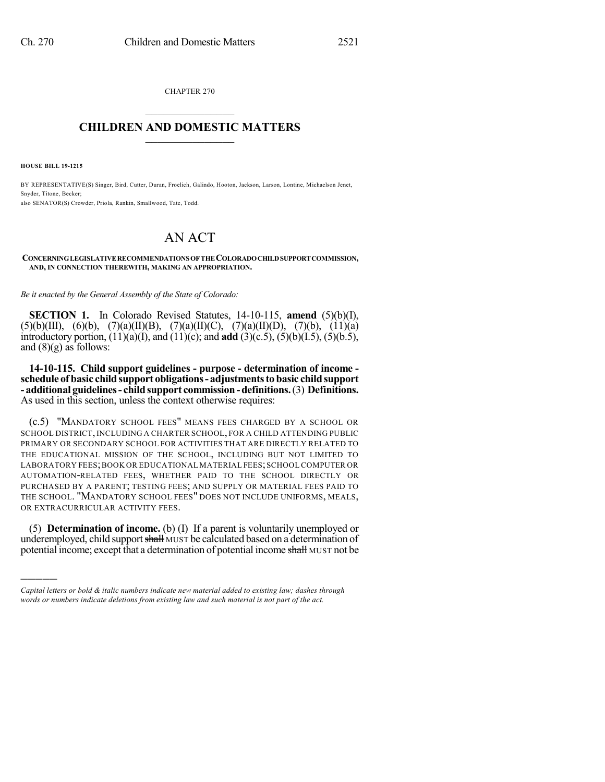CHAPTER 270  $\mathcal{L}_\text{max}$  . The set of the set of the set of the set of the set of the set of the set of the set of the set of the set of the set of the set of the set of the set of the set of the set of the set of the set of the set

## **CHILDREN AND DOMESTIC MATTERS**  $\_$

**HOUSE BILL 19-1215**

)))))

BY REPRESENTATIVE(S) Singer, Bird, Cutter, Duran, Froelich, Galindo, Hooton, Jackson, Larson, Lontine, Michaelson Jenet, Snyder, Titone, Becker; also SENATOR(S) Crowder, Priola, Rankin, Smallwood, Tate, Todd.

## AN ACT

## **CONCERNINGLEGISLATIVERECOMMENDATIONSOFTHECOLORADOCHILDSUPPORTCOMMISSION, AND, IN CONNECTION THEREWITH, MAKING AN APPROPRIATION.**

*Be it enacted by the General Assembly of the State of Colorado:*

**SECTION 1.** In Colorado Revised Statutes, 14-10-115, **amend** (5)(b)(I),  $(5)(b)(III)$ ,  $(6)(b)$ ,  $(7)(a)(II)(B)$ ,  $(7)(a)(II)(C)$ ,  $(7)(a)(II)(D)$ ,  $(7)(b)$ ,  $(11)(a)$ introductory portion, (11)(a)(I), and (11)(c); and **add** (3)(c.5), (5)(b)(I.5), (5)(b.5), and  $(8)(g)$  as follows:

**14-10-115. Child support guidelines - purpose - determination of income schedule of basic childsupport obligations- adjustmentstobasic childsupport - additional guidelines- childsupport commission-definitions.**(3) **Definitions.** As used in this section, unless the context otherwise requires:

(c.5) "MANDATORY SCHOOL FEES" MEANS FEES CHARGED BY A SCHOOL OR SCHOOL DISTRICT, INCLUDING A CHARTER SCHOOL, FOR A CHILD ATTENDING PUBLIC PRIMARY OR SECONDARY SCHOOL FOR ACTIVITIES THAT ARE DIRECTLY RELATED TO THE EDUCATIONAL MISSION OF THE SCHOOL, INCLUDING BUT NOT LIMITED TO LABORATORY FEES;BOOK OR EDUCATIONAL MATERIAL FEES;SCHOOLCOMPUTER OR AUTOMATION-RELATED FEES, WHETHER PAID TO THE SCHOOL DIRECTLY OR PURCHASED BY A PARENT; TESTING FEES; AND SUPPLY OR MATERIAL FEES PAID TO THE SCHOOL. "MANDATORY SCHOOL FEES" DOES NOT INCLUDE UNIFORMS, MEALS, OR EXTRACURRICULAR ACTIVITY FEES.

(5) **Determination of income.** (b) (I) If a parent is voluntarily unemployed or underemployed, child support shall MUST be calculated based on a determination of potential income; except that a determination of potential income shall MUST not be

*Capital letters or bold & italic numbers indicate new material added to existing law; dashes through words or numbers indicate deletions from existing law and such material is not part of the act.*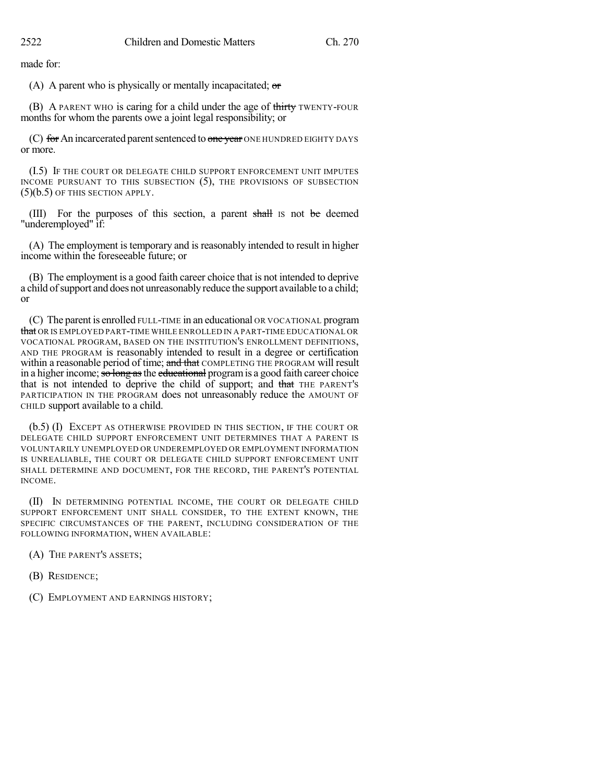made for:

(A) A parent who is physically or mentally incapacitated;  $\sigma$ 

(B) A PARENT WHO is caring for a child under the age of thirty TWENTY-FOUR months for whom the parents owe a joint legal responsibility; or

(C) for An incarcerated parent sentenced to one year ONE HUNDRED EIGHTY DAYS or more.

(I.5) IF THE COURT OR DELEGATE CHILD SUPPORT ENFORCEMENT UNIT IMPUTES INCOME PURSUANT TO THIS SUBSECTION (5), THE PROVISIONS OF SUBSECTION (5)(b.5) OF THIS SECTION APPLY.

(III) For the purposes of this section, a parent shall IS not be deemed "underemployed" if:

(A) The employment is temporary and is reasonably intended to result in higher income within the foreseeable future; or

(B) The employment is a good faith career choice that is not intended to deprive a child of support and does not unreasonably reduce the support available to a child; or

(C) The parent is enrolled FULL-TIME in an educational OR VOCATIONAL program that OR IS EMPLOYED PART-TIME WHILE ENROLLED IN A PART-TIME EDUCATIONAL OR VOCATIONAL PROGRAM, BASED ON THE INSTITUTION'S ENROLLMENT DEFINITIONS, AND THE PROGRAM is reasonably intended to result in a degree or certification within a reasonable period of time; and that COMPLETING THE PROGRAM will result in a higher income; so long as the educational program is a good faith career choice that is not intended to deprive the child of support; and that THE PARENT'S PARTICIPATION IN THE PROGRAM does not unreasonably reduce the AMOUNT OF CHILD support available to a child.

(b.5) (I) EXCEPT AS OTHERWISE PROVIDED IN THIS SECTION, IF THE COURT OR DELEGATE CHILD SUPPORT ENFORCEMENT UNIT DETERMINES THAT A PARENT IS VOLUNTARILY UNEMPLOYED OR UNDEREMPLOYED OR EMPLOYMENT INFORMATION IS UNREALIABLE, THE COURT OR DELEGATE CHILD SUPPORT ENFORCEMENT UNIT SHALL DETERMINE AND DOCUMENT, FOR THE RECORD, THE PARENT'S POTENTIAL INCOME.

(II) IN DETERMINING POTENTIAL INCOME, THE COURT OR DELEGATE CHILD SUPPORT ENFORCEMENT UNIT SHALL CONSIDER, TO THE EXTENT KNOWN, THE SPECIFIC CIRCUMSTANCES OF THE PARENT, INCLUDING CONSIDERATION OF THE FOLLOWING INFORMATION, WHEN AVAILABLE:

(A) THE PARENT'S ASSETS;

(B) RESIDENCE;

(C) EMPLOYMENT AND EARNINGS HISTORY;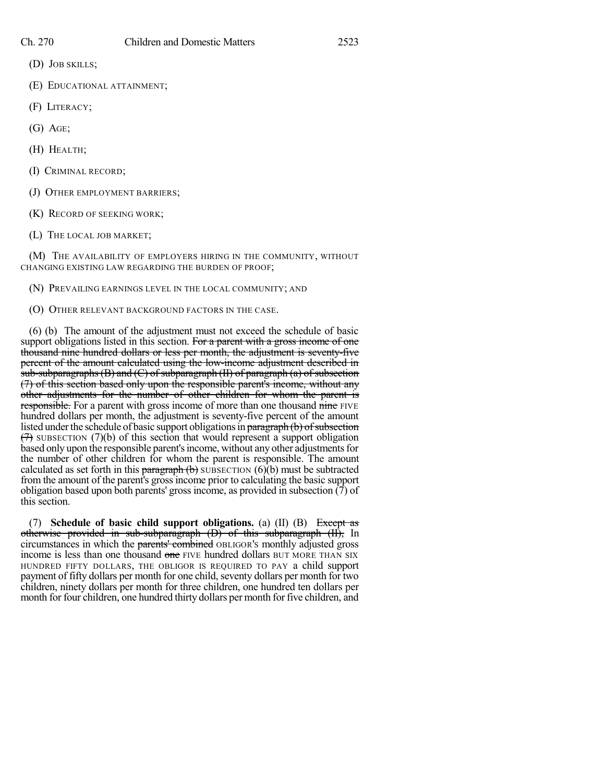- (D) JOB SKILLS;
- (E) EDUCATIONAL ATTAINMENT;
- (F) LITERACY;
- (G) AGE;
- (H) HEALTH;
- (I) CRIMINAL RECORD;
- (J) OTHER EMPLOYMENT BARRIERS;
- (K) RECORD OF SEEKING WORK;
- (L) THE LOCAL JOB MARKET;

(M) THE AVAILABILITY OF EMPLOYERS HIRING IN THE COMMUNITY, WITHOUT CHANGING EXISTING LAW REGARDING THE BURDEN OF PROOF;

(N) PREVAILING EARNINGS LEVEL IN THE LOCAL COMMUNITY; AND

(O) OTHER RELEVANT BACKGROUND FACTORS IN THE CASE.

(6) (b) The amount of the adjustment must not exceed the schedule of basic support obligations listed in this section. For a parent with a gross income of one thousand nine hundred dollars or less per month, the adjustment is seventy-five percent of the amount calculated using the low-income adjustment described in  $sub-subparagrams$  (B) and (C) of subparagraph (II) of paragraph (a) of subsection (7) of this section based only upon the responsible parent's income, without any other adjustments for the number of other children for whom the parent is responsible. For a parent with gross income of more than one thousand nine FIVE hundred dollars per month, the adjustment is seventy-five percent of the amount listed under the schedule of basic support obligations in paragraph (b) of subsection  $(7)$  SUBSECTION (7)(b) of this section that would represent a support obligation based only upon the responsible parent's income, without any other adjustments for the number of other children for whom the parent is responsible. The amount calculated as set forth in this  $\frac{\text{parameter of}}{\text{softmax}}$  SUBSECTION (6)(b) must be subtracted from the amount of the parent's grossincome prior to calculating the basic support obligation based upon both parents' gross income, as provided in subsection  $(\overline{7})$  of this section.

(7) **Schedule of basic child support obligations.** (a) (II) (B) Except as otherwise provided in sub-subparagraph (D) of this subparagraph (II), In circumstances in which the parents' combined OBLIGOR'S monthly adjusted gross income is less than one thousand one FIVE hundred dollars BUT MORE THAN SIX HUNDRED FIFTY DOLLARS, THE OBLIGOR IS REQUIRED TO PAY a child support payment of fifty dollars per month for one child, seventy dollars per month for two children, ninety dollars per month for three children, one hundred ten dollars per month for four children, one hundred thirty dollars per month for five children, and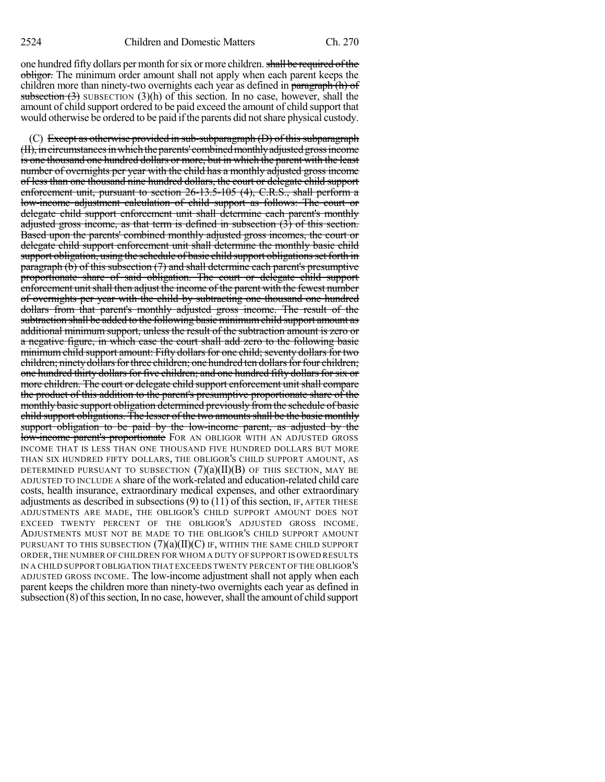one hundred fifty dollars per month for six or more children. shall be required of the obligor. The minimum order amount shall not apply when each parent keeps the children more than ninety-two overnights each year as defined in paragraph (h) of subsection  $(3)$  SUBSECTION  $(3)(h)$  of this section. In no case, however, shall the amount of child support ordered to be paid exceed the amount of child support that would otherwise be ordered to be paid if the parents did not share physical custody.

(C) Except as otherwise provided in sub-subparagraph (D) of this subparagraph (II), in circumstances in which the parents' combined monthly adjusted gross income is one thousand one hundred dollars or more, but in which the parent with the least number of overnights per year with the child has a monthly adjusted gross income of less than one thousand nine hundred dollars, the court or delegate child support enforcement unit, pursuant to section 26-13.5-105 (4), C.R.S., shall perform a low-income adjustment calculation of child support as follows: The court or delegate child support enforcement unit shall determine each parent's monthly adjusted gross income, as that term is defined in subsection (3) of this section. Based upon the parents' combined monthly adjusted gross incomes, the court or delegate child support enforcement unit shall determine the monthly basic child support obligation, using the schedule of basic child support obligations set forth in paragraph  $(b)$  of this subsection  $(7)$  and shall determine each parent's presumptive proportionate share of said obligation. The court or delegate child support enforcement unit shall then adjust the income of the parent with the fewest number of overnights per year with the child by subtracting one thousand one hundred dollars from that parent's monthly adjusted gross income. The result of the subtraction shall be added to the following basic minimum child support amount as additional minimum support, unless the result of the subtraction amount is zero or a negative figure, in which case the court shall add zero to the following basic minimum child support amount: Fifty dollars for one child; seventy dollars for two children; ninety dollars for three children; one hundred ten dollars for four children; one hundred thirty dollars for five children; and one hundred fifty dollars for six or more children. The court or delegate child support enforcement unit shall compare the product of this addition to the parent's presumptive proportionate share of the monthly basic support obligation determined previously fromthe schedule of basic child support obligations. The lesser of the two amounts shall be the basic monthly support obligation to be paid by the low-income parent, as adjusted by the low-income parent's proportionate FOR AN OBLIGOR WITH AN ADJUSTED GROSS INCOME THAT IS LESS THAN ONE THOUSAND FIVE HUNDRED DOLLARS BUT MORE THAN SIX HUNDRED FIFTY DOLLARS, THE OBLIGOR'S CHILD SUPPORT AMOUNT, AS DETERMINED PURSUANT TO SUBSECTION  $(7)(a)(II)(B)$  of this section, may be ADJUSTED TO INCLUDE A share of the work-related and education-related child care costs, health insurance, extraordinary medical expenses, and other extraordinary adjustments as described in subsections  $(9)$  to  $(11)$  of this section, IF, AFTER THESE ADJUSTMENTS ARE MADE, THE OBLIGOR'S CHILD SUPPORT AMOUNT DOES NOT EXCEED TWENTY PERCENT OF THE OBLIGOR'S ADJUSTED GROSS INCOME. ADJUSTMENTS MUST NOT BE MADE TO THE OBLIGOR'S CHILD SUPPORT AMOUNT PURSUANT TO THIS SUBSECTION  $(7)(a)(II)(C)$  IF, WITHIN THE SAME CHILD SUPPORT ORDER,THE NUMBER OF CHILDREN FOR WHOM A DUTY OF SUPPORT IS OWED RESULTS IN A CHILD SUPPORT OBLIGATION THAT EXCEEDS TWENTY PERCENT OFTHE OBLIGOR'S ADJUSTED GROSS INCOME. The low-income adjustment shall not apply when each parent keeps the children more than ninety-two overnights each year as defined in subsection (8) of this section, In no case, however, shall the amount of child support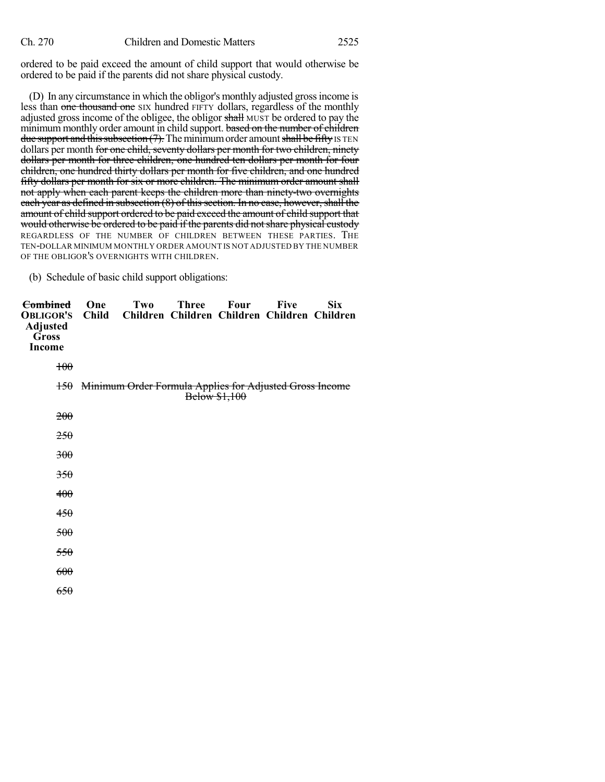ordered to be paid exceed the amount of child support that would otherwise be ordered to be paid if the parents did not share physical custody.

(D) In any circumstance in which the obligor's monthly adjusted grossincome is less than one thousand one SIX hundred FIFTY dollars, regardless of the monthly adjusted gross income of the obligee, the obligor shall MUST be ordered to pay the minimum monthly order amount in child support. based on the number of children due support and this subsection  $(7)$ . The minimum order amount shall be fifty IS TEN dollars per month for one child, seventy dollars per month for two children, ninety dollars per month for three children, one hundred ten dollars per month for four children, one hundred thirty dollars per month for five children, and one hundred fifty dollars per month for six or more children. The minimum order amount shall not apply when each parent keeps the children more than ninety-two overnights each year as defined in subsection  $(8)$  of this section. In no case, however, shall the amount of child support ordered to be paid exceed the amount of child support that would otherwise be ordered to be paid if the parents did not share physical custody REGARDLESS OF THE NUMBER OF CHILDREN BETWEEN THESE PARTIES. THE TEN-DOLLAR MINIMUM MONTHLY ORDER AMOUNT IS NOT ADJUSTED BY THE NUMBER OF THE OBLIGOR'S OVERNIGHTS WITH CHILDREN.

(b) Schedule of basic child support obligations:

| <del>Combined</del><br><b>OBLIGOR'S</b><br>Adjusted<br>Gross<br>Income | One<br>Child | Two | <b>Three</b><br>Children Children Children Children Children | Four          | <b>Five</b> | <b>Six</b> |
|------------------------------------------------------------------------|--------------|-----|--------------------------------------------------------------|---------------|-------------|------------|
| $+00$                                                                  |              |     |                                                              |               |             |            |
|                                                                        |              |     | 150 Minimum Order Formula Applies for Adjusted Gross Income  | Below \$1,100 |             |            |
| <del>200</del>                                                         |              |     |                                                              |               |             |            |
| <del>250</del>                                                         |              |     |                                                              |               |             |            |
| 300                                                                    |              |     |                                                              |               |             |            |
| 350                                                                    |              |     |                                                              |               |             |            |
| 400                                                                    |              |     |                                                              |               |             |            |
| 450                                                                    |              |     |                                                              |               |             |            |
| 500                                                                    |              |     |                                                              |               |             |            |
| 550                                                                    |              |     |                                                              |               |             |            |
| 600                                                                    |              |     |                                                              |               |             |            |
| 650                                                                    |              |     |                                                              |               |             |            |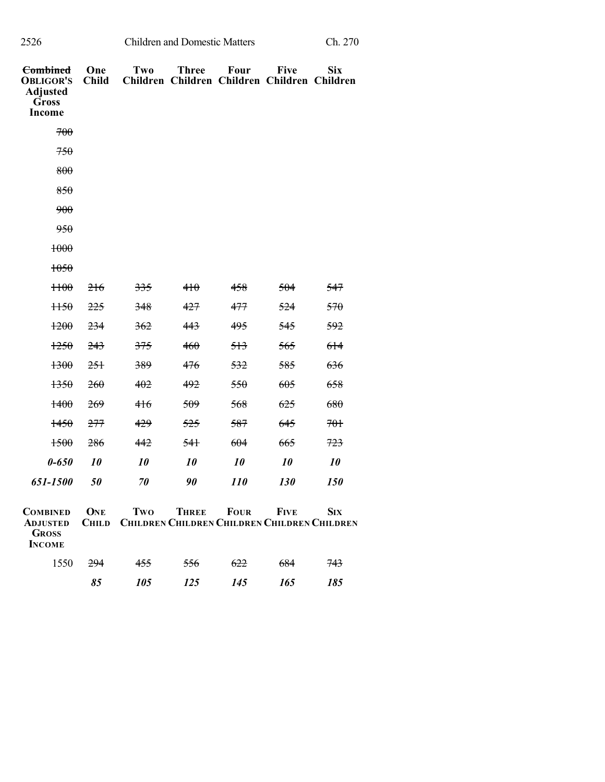| 2526 | <b>Children and Domestic Matters</b> | Ch. 270 |
|------|--------------------------------------|---------|
|      |                                      |         |

| ١ |
|---|
|   |

| <b>Combined</b><br><b>OBLIGOR'S</b><br><b>Adjusted</b><br><b>Gross</b><br><b>Income</b> | One<br><b>Child</b> | Two | <b>Three</b><br>Children Children Children Children Children | <b>Four</b> | <b>Five</b> | <b>Six</b>                                                        |
|-----------------------------------------------------------------------------------------|---------------------|-----|--------------------------------------------------------------|-------------|-------------|-------------------------------------------------------------------|
| 700                                                                                     |                     |     |                                                              |             |             |                                                                   |
| 750                                                                                     |                     |     |                                                              |             |             |                                                                   |
| 800                                                                                     |                     |     |                                                              |             |             |                                                                   |
| 850                                                                                     |                     |     |                                                              |             |             |                                                                   |
| 900                                                                                     |                     |     |                                                              |             |             |                                                                   |
| 950                                                                                     |                     |     |                                                              |             |             |                                                                   |
| 1000                                                                                    |                     |     |                                                              |             |             |                                                                   |
| 1050                                                                                    |                     |     |                                                              |             |             |                                                                   |
| H <sub>00</sub>                                                                         | 216                 | 335 | 410                                                          | 458         | 504         | 547                                                               |
| H50                                                                                     | 225                 | 348 | 427                                                          | 477         | 524         | 570                                                               |
| 1200                                                                                    | 234                 | 362 | 443                                                          | 495         | 545         | 592                                                               |
| 1250                                                                                    | 243                 | 375 | 460                                                          | 513         | 565         | 614                                                               |
| 1300                                                                                    | 251                 | 389 | 476                                                          | 532         | 585         | 636                                                               |
| 1350                                                                                    | 260                 | 402 | 492                                                          | 550         | 605         | 658                                                               |
| 1400                                                                                    | <del>269</del>      | 416 | 509                                                          | 568         | 625         | 680                                                               |
| 1450                                                                                    | 277                 | 429 | 525                                                          | 587         | 645         | 701                                                               |
| 1500                                                                                    | 286                 | 442 | <del>541</del>                                               | 604         | 665         | 723                                                               |
| $0 - 650$                                                                               | 10                  | 10  | 10                                                           | 10          | 10          | 10                                                                |
| 651-1500                                                                                | 50                  | 70  | 90                                                           | <i>110</i>  | 130         | 150                                                               |
| <b>COMBINED</b><br><b>ADJUSTED</b><br><b>GROSS</b><br><b>INCOME</b>                     | ONE<br><b>CHILD</b> | Two | THREE                                                        | <b>FOUR</b> | <b>FIVE</b> | <b>SIX</b><br><b>CHILDREN CHILDREN CHILDREN CHILDREN CHILDREN</b> |
| 1550                                                                                    | 294                 | 455 | 556                                                          | 622         | 684         | 743                                                               |
|                                                                                         | 85                  | 105 | 125                                                          | 145         | 165         | 185                                                               |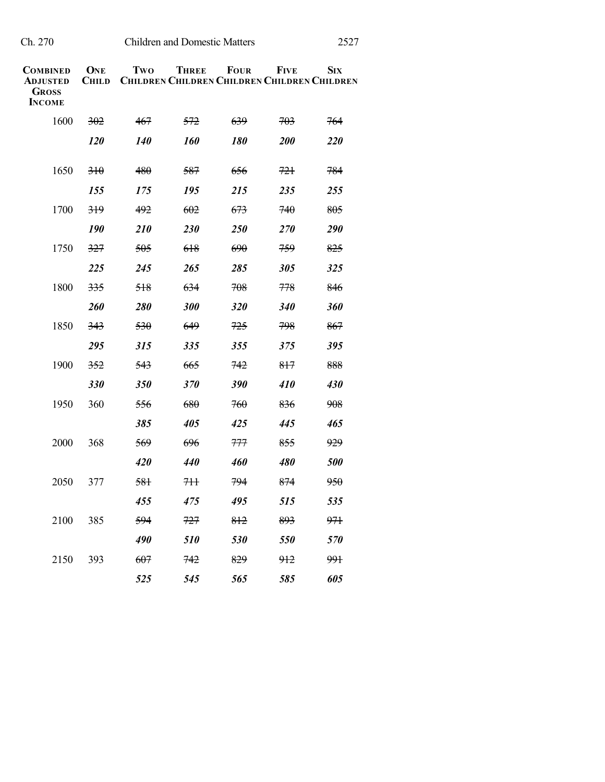| L |  |
|---|--|
|   |  |

| <b>COMBINED</b><br><b>ADJUSTED</b><br><b>GROSS</b><br><b>INCOME</b> | ONE<br><b>CHILD</b> | Two               | <b>THREE</b><br><b>CHILDREN CHILDREN CHILDREN CHILDREN CHILDREN</b> | <b>FOUR</b>       | <b>FIVE</b>    | <b>SIX</b>      |
|---------------------------------------------------------------------|---------------------|-------------------|---------------------------------------------------------------------|-------------------|----------------|-----------------|
| 1600                                                                | 302                 | 467               | 572                                                                 | 639               | 703            | 764             |
|                                                                     | <i>120</i>          | <i><b>140</b></i> | <i><b>160</b></i>                                                   | <i><b>180</b></i> | <b>200</b>     | 220             |
| 1650                                                                | 310                 | 480               | 587                                                                 | 656               | 721            | 784             |
|                                                                     | 155                 | 175               | 195                                                                 | 215               | 235            | 255             |
| 1700                                                                | 319                 | 492               | 602                                                                 | 673               | 740            | 805             |
|                                                                     | <b>190</b>          | <b>210</b>        | 230                                                                 | 250               | 270            | 290             |
| 1750                                                                | 327                 | 505               | 618                                                                 | 690               | 759            | 825             |
|                                                                     | 225                 | 245               | 265                                                                 | 285               | 305            | 325             |
| 1800                                                                | 335                 | 518               | 634                                                                 | 708               | 778            | 846             |
|                                                                     | <b>260</b>          | <b>280</b>        | 300                                                                 | <b>320</b>        | <b>340</b>     | 360             |
| 1850                                                                | 343                 | 530               | 649                                                                 | 725               | 798            | 867             |
|                                                                     | 295                 | 315               | 335                                                                 | 355               | 375            | 395             |
| 1900                                                                | 352                 | 543               | 665                                                                 | 742               | 817            | 888             |
|                                                                     | 330                 | 350               | 370                                                                 | 390               | 410            | 430             |
| 1950                                                                | 360                 | 556               | 680                                                                 | 760               | 836            | 908             |
|                                                                     |                     | 385               | 405                                                                 | 425               | 445            | 465             |
| 2000                                                                | 368                 | 569               | 696                                                                 | 777               | 855            | 929             |
|                                                                     |                     | 420               | 440                                                                 | 460               | 480            | 500             |
| 2050                                                                | 377                 | 581               | <del>711</del>                                                      | 794               | 874            | <del>950</del>  |
|                                                                     |                     | 455               | 475                                                                 | 495               | 515            | 535             |
| 2100                                                                | 385                 | 594               | 727                                                                 | 812               | 893            | <del>971</del>  |
|                                                                     |                     | 490               | 510                                                                 | 530               | 550            | 570             |
| 2150                                                                | 393                 | 607               | 742                                                                 | 829               | <del>912</del> | 99 <sub>1</sub> |
|                                                                     |                     | 525               | 545                                                                 | 565               | 585            | 605             |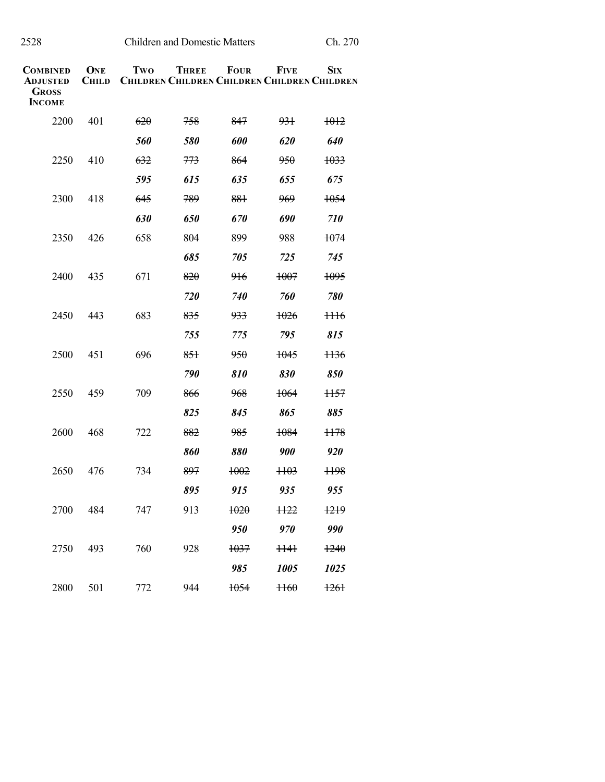| <b>COMBINED</b><br><b>ADJUSTED</b><br><b>GROSS</b><br><b>INCOME</b> | ONE<br><b>CHILD</b> | Two | <b>THREE</b><br><b>CHILDREN CHILDREN CHILDREN CHILDREN CHILDREN</b> | <b>FOUR</b>       | <b>FIVE</b>     | Six             |
|---------------------------------------------------------------------|---------------------|-----|---------------------------------------------------------------------|-------------------|-----------------|-----------------|
| 2200                                                                | 401                 | 620 | 758                                                                 | 847               | 931             | 1012            |
|                                                                     |                     | 560 | 580                                                                 | 600               | 620             | 640             |
| 2250                                                                | 410                 | 632 | 773                                                                 | 864               | <del>950</del>  | 1033            |
|                                                                     |                     | 595 | 615                                                                 | 635               | 655             | 675             |
| 2300                                                                | 418                 | 645 | 789                                                                 | 881               | 969             | 1054            |
|                                                                     |                     | 630 | 650                                                                 | 670               | 690             | <i>710</i>      |
| 2350                                                                | 426                 | 658 | 804                                                                 | 899               | 988             | 1074            |
|                                                                     |                     |     | 685                                                                 | 705               | 725             | 745             |
| 2400                                                                | 435                 | 671 | 820                                                                 | <del>916</del>    | <del>1007</del> | 1095            |
|                                                                     |                     |     | 720                                                                 | <i><b>740</b></i> | 760             | 780             |
| 2450                                                                | 443                 | 683 | 835                                                                 | 933               | 1026            | $1116$          |
|                                                                     |                     |     | 755                                                                 | 775               | 795             | 815             |
| 2500                                                                | 451                 | 696 | 851                                                                 | 950               | 1045            | <del>1136</del> |
|                                                                     |                     |     | 790                                                                 | 810               | 830             | 850             |
| 2550                                                                | 459                 | 709 | 866                                                                 | 968               | 1064            | 1157            |
|                                                                     |                     |     | 825                                                                 | 845               | 865             | 885             |
| 2600                                                                | 468                 | 722 | 882                                                                 | 985               | 1084            | 1178            |
|                                                                     |                     |     | 860                                                                 | 880               | 900             | 920             |
| 2650                                                                | 476                 | 734 | 897                                                                 | 1002              | <del>1103</del> | <del>1198</del> |
|                                                                     |                     |     | 895                                                                 | 915               | 935             | 955             |
| 2700                                                                | 484                 | 747 | 913                                                                 | 1020              | <del>1122</del> | 1219            |
|                                                                     |                     |     |                                                                     | 950               | 970             | 990             |
| 2750                                                                | 493                 | 760 | 928                                                                 | 1037              | $1141$          | 1240            |
|                                                                     |                     |     |                                                                     | 985               | 1005            | 1025            |
| 2800                                                                | 501                 | 772 | 944                                                                 | 1054              | H60             | 1261            |

Children and Domestic Matters Ch. 270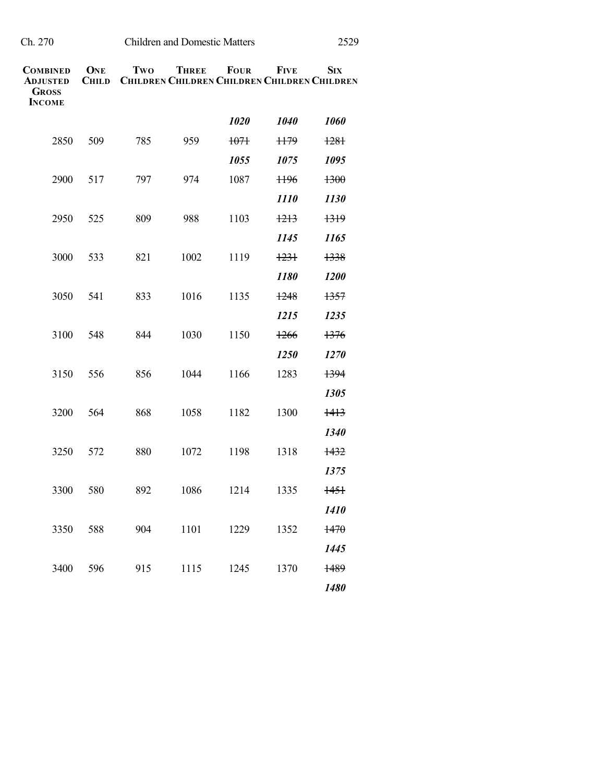| Ch. 270 | <b>Children and Domestic Matters</b> | 2529 |
|---------|--------------------------------------|------|
|         |                                      |      |

| <b>COMBINED</b><br><b>ADJUSTED</b><br><b>GROSS</b><br><b>INCOME</b> | <b>ONE</b><br><b>CHILD</b> | Two | <b>THREE</b><br><b>CHILDREN CHILDREN CHILDREN CHILDREN CHILDREN</b> | <b>FOUR</b> | <b>FIVE</b>     | <b>SIX</b>       |
|---------------------------------------------------------------------|----------------------------|-----|---------------------------------------------------------------------|-------------|-----------------|------------------|
|                                                                     |                            |     |                                                                     | 1020        | 1040            | 1060             |
| 2850                                                                | 509                        | 785 | 959                                                                 | $+07+$      | H <sub>79</sub> | $+28+$           |
|                                                                     |                            |     |                                                                     | 1055        | 1075            | 1095             |
| 2900                                                                | 517                        | 797 | 974                                                                 | 1087        | H <sub>96</sub> | 1300             |
|                                                                     |                            |     |                                                                     |             | <i>1110</i>     | 1130             |
| 2950                                                                | 525                        | 809 | 988                                                                 | 1103        | 1213            | 1319             |
|                                                                     |                            |     |                                                                     |             | 1145            | 1165             |
| 3000                                                                | 533                        | 821 | 1002                                                                | 1119        | 1231            | 1338             |
|                                                                     |                            |     |                                                                     |             | 1180            | 1200             |
| 3050                                                                | 541                        | 833 | 1016                                                                | 1135        | 1248            | 1357             |
|                                                                     |                            |     |                                                                     |             | 1215            | 1235             |
| 3100                                                                | 548                        | 844 | 1030                                                                | 1150        | 1266            | 1376             |
|                                                                     |                            |     |                                                                     |             | 1250            | 1270             |
| 3150                                                                | 556                        | 856 | 1044                                                                | 1166        | 1283            | 1394             |
|                                                                     |                            |     |                                                                     |             |                 | 1305             |
| 3200                                                                | 564                        | 868 | 1058                                                                | 1182        | 1300            | $\frac{1413}{2}$ |
|                                                                     |                            |     |                                                                     |             |                 | 1340             |
| 3250                                                                | 572                        | 880 | 1072                                                                | 1198        | 1318            | 1432             |
|                                                                     |                            |     |                                                                     |             |                 | 1375             |
| 3300                                                                | 580                        | 892 | 1086                                                                | 1214        | 1335            | <del>1451</del>  |
|                                                                     |                            |     |                                                                     |             |                 | 1410             |
| 3350                                                                | 588                        | 904 | 1101                                                                | 1229        | 1352            | 1470             |
|                                                                     |                            |     |                                                                     |             |                 | 1445             |
| 3400                                                                | 596                        | 915 | 1115                                                                | 1245        | 1370            | 1489             |
|                                                                     |                            |     |                                                                     |             |                 | 1480             |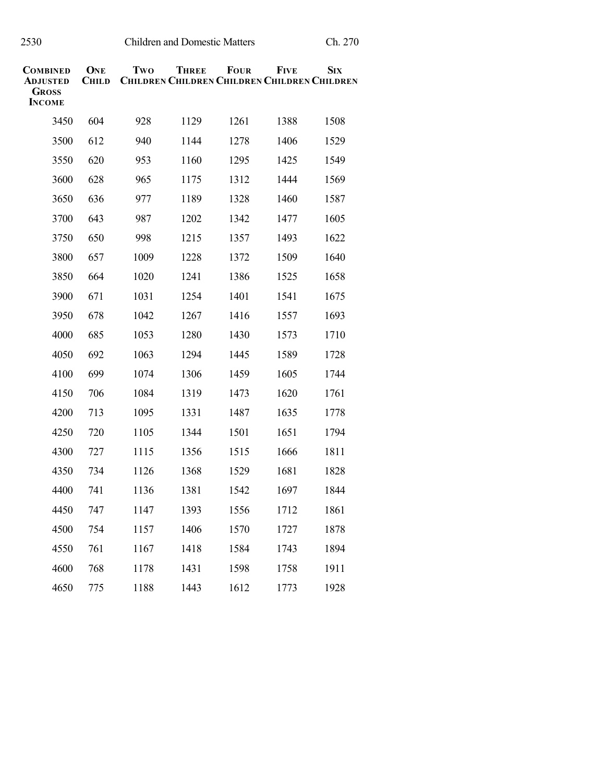| COMBINED<br>Adjusted<br><b>GROSS</b> | ONE<br><b>CHILD</b> | Two  | <b>THREE</b><br><b>CHILDREN CHILDREN CHILDREN CHILDREN CHILDREN</b> | <b>FOUR</b> | <b>FIVE</b> | <b>SIX</b> |
|--------------------------------------|---------------------|------|---------------------------------------------------------------------|-------------|-------------|------------|
| <b>INCOME</b>                        |                     |      |                                                                     |             |             |            |
| 3450                                 | 604                 | 928  | 1129                                                                | 1261        | 1388        | 1508       |
| 3500                                 | 612                 | 940  | 1144                                                                | 1278        | 1406        | 1529       |
| 3550                                 | 620                 | 953  | 1160                                                                | 1295        | 1425        | 1549       |
| 3600                                 | 628                 | 965  | 1175                                                                | 1312        | 1444        | 1569       |
| 3650                                 | 636                 | 977  | 1189                                                                | 1328        | 1460        | 1587       |
| 3700                                 | 643                 | 987  | 1202                                                                | 1342        | 1477        | 1605       |
| 3750                                 | 650                 | 998  | 1215                                                                | 1357        | 1493        | 1622       |
| 3800                                 | 657                 | 1009 | 1228                                                                | 1372        | 1509        | 1640       |
| 3850                                 | 664                 | 1020 | 1241                                                                | 1386        | 1525        | 1658       |
| 3900                                 | 671                 | 1031 | 1254                                                                | 1401        | 1541        | 1675       |
| 3950                                 | 678                 | 1042 | 1267                                                                | 1416        | 1557        | 1693       |
| 4000                                 | 685                 | 1053 | 1280                                                                | 1430        | 1573        | 1710       |
| 4050                                 | 692                 | 1063 | 1294                                                                | 1445        | 1589        | 1728       |
| 4100                                 | 699                 | 1074 | 1306                                                                | 1459        | 1605        | 1744       |
| 4150                                 | 706                 | 1084 | 1319                                                                | 1473        | 1620        | 1761       |
| 4200                                 | 713                 | 1095 | 1331                                                                | 1487        | 1635        | 1778       |
| 4250                                 | 720                 | 1105 | 1344                                                                | 1501        | 1651        | 1794       |
| 4300                                 | 727                 | 1115 | 1356                                                                | 1515        | 1666        | 1811       |
| 4350                                 | 734                 | 1126 | 1368                                                                | 1529        | 1681        | 1828       |
| 4400                                 | 741                 | 1136 | 1381                                                                | 1542        | 1697        | 1844       |
| 4450                                 | 747                 | 1147 | 1393                                                                | 1556        | 1712        | 1861       |
| 4500                                 | 754                 | 1157 | 1406                                                                | 1570        | 1727        | 1878       |
| 4550                                 | 761                 | 1167 | 1418                                                                | 1584        | 1743        | 1894       |
| 4600                                 | 768                 | 1178 | 1431                                                                | 1598        | 1758        | 1911       |
| 4650                                 | 775                 | 1188 | 1443                                                                | 1612        | 1773        | 1928       |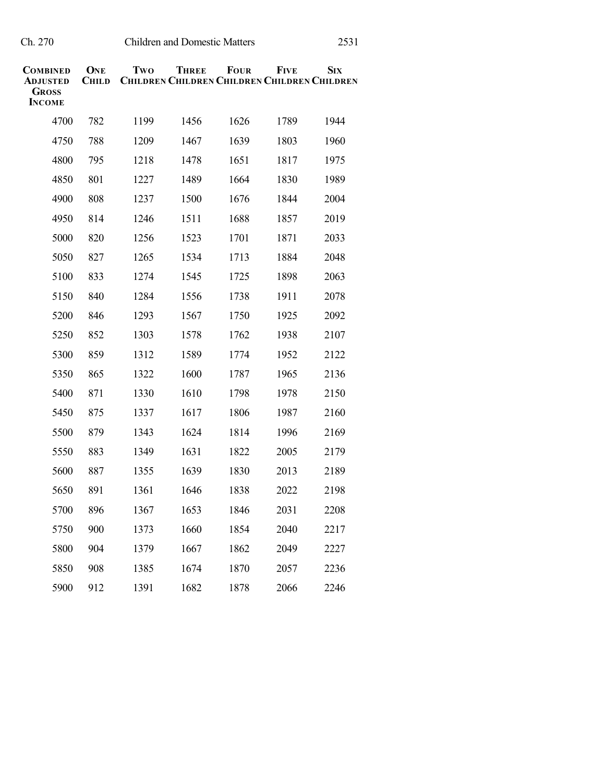| COMBINED<br>ADJUSTED<br>Gross<br><b>INCOME</b> | ONE<br><b>CHILD</b> | Two  | <b>THREE</b><br><b>CHILDREN CHILDREN CHILDREN CHILDREN CHILDREN</b> | <b>FOUR</b> | <b>FIVE</b> | <b>SIX</b> |
|------------------------------------------------|---------------------|------|---------------------------------------------------------------------|-------------|-------------|------------|
| 4700                                           | 782                 | 1199 | 1456                                                                | 1626        | 1789        | 1944       |
| 4750                                           | 788                 | 1209 | 1467                                                                | 1639        | 1803        | 1960       |
| 4800                                           | 795                 | 1218 | 1478                                                                | 1651        | 1817        | 1975       |
| 4850                                           | 801                 | 1227 | 1489                                                                | 1664        | 1830        | 1989       |
| 4900                                           | 808                 | 1237 | 1500                                                                | 1676        | 1844        | 2004       |
| 4950                                           | 814                 | 1246 | 1511                                                                | 1688        | 1857        | 2019       |
| 5000                                           | 820                 | 1256 | 1523                                                                | 1701        | 1871        | 2033       |
| 5050                                           | 827                 | 1265 | 1534                                                                | 1713        | 1884        | 2048       |
| 5100                                           | 833                 | 1274 | 1545                                                                | 1725        | 1898        | 2063       |
| 5150                                           | 840                 | 1284 | 1556                                                                | 1738        | 1911        | 2078       |
| 5200                                           | 846                 | 1293 | 1567                                                                | 1750        | 1925        | 2092       |
| 5250                                           | 852                 | 1303 | 1578                                                                | 1762        | 1938        | 2107       |
| 5300                                           | 859                 | 1312 | 1589                                                                | 1774        | 1952        | 2122       |
| 5350                                           | 865                 | 1322 | 1600                                                                | 1787        | 1965        | 2136       |
| 5400                                           | 871                 | 1330 | 1610                                                                | 1798        | 1978        | 2150       |
| 5450                                           | 875                 | 1337 | 1617                                                                | 1806        | 1987        | 2160       |
| 5500                                           | 879                 | 1343 | 1624                                                                | 1814        | 1996        | 2169       |
| 5550                                           | 883                 | 1349 | 1631                                                                | 1822        | 2005        | 2179       |
| 5600                                           | 887                 | 1355 | 1639                                                                | 1830        | 2013        | 2189       |
| 5650                                           | 891                 | 1361 | 1646                                                                | 1838        | 2022        | 2198       |
| 5700                                           | 896                 | 1367 | 1653                                                                | 1846        | 2031        | 2208       |
| 5750                                           | 900                 | 1373 | 1660                                                                | 1854        | 2040        | 2217       |
| 5800                                           | 904                 | 1379 | 1667                                                                | 1862        | 2049        | 2227       |
| 5850                                           | 908                 | 1385 | 1674                                                                | 1870        | 2057        | 2236       |
| 5900                                           | 912                 | 1391 | 1682                                                                | 1878        | 2066        | 2246       |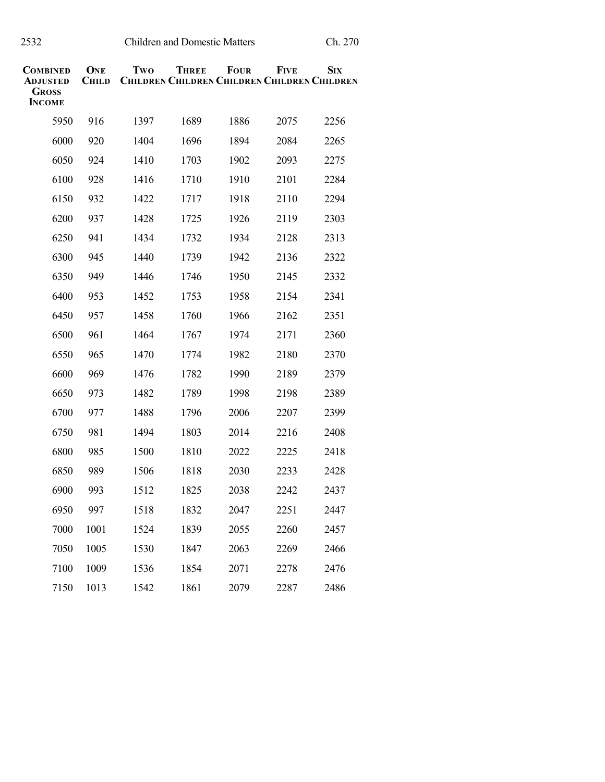| <b>COMBINED</b><br><b>ADJUSTED</b><br>Gross<br><b>INCOME</b> | ONE<br><b>CHILD</b> | Two  | <b>THREE</b><br><b>CHILDREN CHILDREN CHILDREN CHILDREN CHILDREN</b> | <b>FOUR</b> | <b>FIVE</b> | <b>SIX</b> |
|--------------------------------------------------------------|---------------------|------|---------------------------------------------------------------------|-------------|-------------|------------|
| 5950                                                         | 916                 | 1397 | 1689                                                                | 1886        | 2075        | 2256       |
| 6000                                                         | 920                 | 1404 | 1696                                                                | 1894        | 2084        | 2265       |
| 6050                                                         | 924                 | 1410 | 1703                                                                | 1902        | 2093        | 2275       |
| 6100                                                         | 928                 | 1416 | 1710                                                                | 1910        | 2101        | 2284       |
| 6150                                                         | 932                 | 1422 | 1717                                                                | 1918        | 2110        | 2294       |
| 6200                                                         | 937                 | 1428 | 1725                                                                | 1926        | 2119        | 2303       |
| 6250                                                         | 941                 | 1434 | 1732                                                                | 1934        | 2128        | 2313       |
| 6300                                                         | 945                 | 1440 | 1739                                                                | 1942        | 2136        | 2322       |
| 6350                                                         | 949                 | 1446 | 1746                                                                | 1950        | 2145        | 2332       |
| 6400                                                         | 953                 | 1452 | 1753                                                                | 1958        | 2154        | 2341       |
| 6450                                                         | 957                 | 1458 | 1760                                                                | 1966        | 2162        | 2351       |
| 6500                                                         | 961                 | 1464 | 1767                                                                | 1974        | 2171        | 2360       |
| 6550                                                         | 965                 | 1470 | 1774                                                                | 1982        | 2180        | 2370       |
| 6600                                                         | 969                 | 1476 | 1782                                                                | 1990        | 2189        | 2379       |
| 6650                                                         | 973                 | 1482 | 1789                                                                | 1998        | 2198        | 2389       |
| 6700                                                         | 977                 | 1488 | 1796                                                                | 2006        | 2207        | 2399       |
| 6750                                                         | 981                 | 1494 | 1803                                                                | 2014        | 2216        | 2408       |
| 6800                                                         | 985                 | 1500 | 1810                                                                | 2022        | 2225        | 2418       |
| 6850                                                         | 989                 | 1506 | 1818                                                                | 2030        | 2233        | 2428       |
| 6900                                                         | 993                 | 1512 | 1825                                                                | 2038        | 2242        | 2437       |
| 6950                                                         | 997                 | 1518 | 1832                                                                | 2047        | 2251        | 2447       |
| 7000                                                         | 1001                | 1524 | 1839                                                                | 2055        | 2260        | 2457       |
| 7050                                                         | 1005                | 1530 | 1847                                                                | 2063        | 2269        | 2466       |
| 7100                                                         | 1009                | 1536 | 1854                                                                | 2071        | 2278        | 2476       |
| 7150                                                         | 1013                | 1542 | 1861                                                                | 2079        | 2287        | 2486       |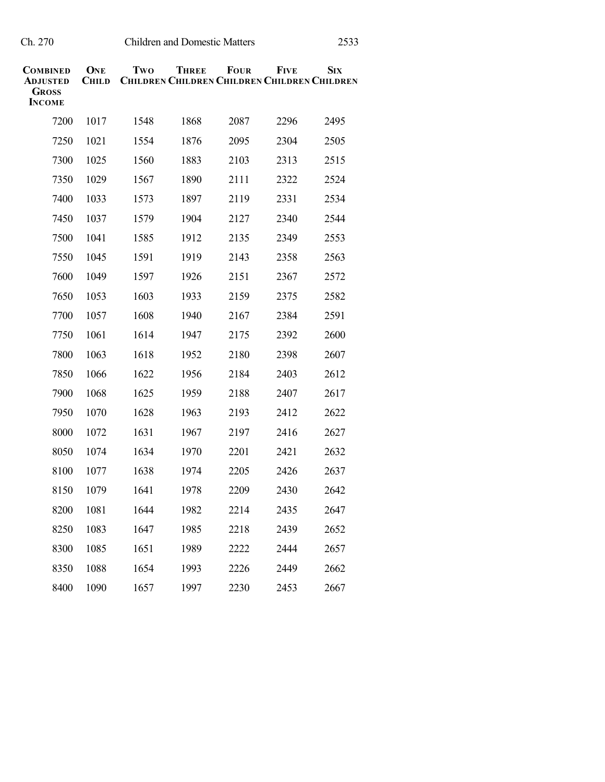| COMBINED<br>ADJUSTED<br>Gross<br><b>INCOME</b> | ONE<br><b>CHILD</b> | Two  | <b>THREE</b><br><b>CHILDREN CHILDREN CHILDREN CHILDREN CHILDREN</b> | <b>FOUR</b> | <b>FIVE</b> | <b>SIX</b> |
|------------------------------------------------|---------------------|------|---------------------------------------------------------------------|-------------|-------------|------------|
| 7200                                           | 1017                | 1548 | 1868                                                                | 2087        | 2296        | 2495       |
| 7250                                           | 1021                | 1554 | 1876                                                                | 2095        | 2304        | 2505       |
| 7300                                           | 1025                | 1560 | 1883                                                                | 2103        | 2313        | 2515       |
| 7350                                           | 1029                | 1567 | 1890                                                                | 2111        | 2322        | 2524       |
| 7400                                           | 1033                | 1573 | 1897                                                                | 2119        | 2331        | 2534       |
| 7450                                           | 1037                | 1579 | 1904                                                                | 2127        | 2340        | 2544       |
| 7500                                           | 1041                | 1585 | 1912                                                                | 2135        | 2349        | 2553       |
| 7550                                           | 1045                | 1591 | 1919                                                                | 2143        | 2358        | 2563       |
| 7600                                           | 1049                | 1597 | 1926                                                                | 2151        | 2367        | 2572       |
| 7650                                           | 1053                | 1603 | 1933                                                                | 2159        | 2375        | 2582       |
| 7700                                           | 1057                | 1608 | 1940                                                                | 2167        | 2384        | 2591       |
| 7750                                           | 1061                | 1614 | 1947                                                                | 2175        | 2392        | 2600       |
| 7800                                           | 1063                | 1618 | 1952                                                                | 2180        | 2398        | 2607       |
| 7850                                           | 1066                | 1622 | 1956                                                                | 2184        | 2403        | 2612       |
| 7900                                           | 1068                | 1625 | 1959                                                                | 2188        | 2407        | 2617       |
| 7950                                           | 1070                | 1628 | 1963                                                                | 2193        | 2412        | 2622       |
| 8000                                           | 1072                | 1631 | 1967                                                                | 2197        | 2416        | 2627       |
| 8050                                           | 1074                | 1634 | 1970                                                                | 2201        | 2421        | 2632       |
| 8100                                           | 1077                | 1638 | 1974                                                                | 2205        | 2426        | 2637       |
| 8150                                           | 1079                | 1641 | 1978                                                                | 2209        | 2430        | 2642       |
| 8200                                           | 1081                | 1644 | 1982                                                                | 2214        | 2435        | 2647       |
| 8250                                           | 1083                | 1647 | 1985                                                                | 2218        | 2439        | 2652       |
| 8300                                           | 1085                | 1651 | 1989                                                                | 2222        | 2444        | 2657       |
| 8350                                           | 1088                | 1654 | 1993                                                                | 2226        | 2449        | 2662       |
| 8400                                           | 1090                | 1657 | 1997                                                                | 2230        | 2453        | 2667       |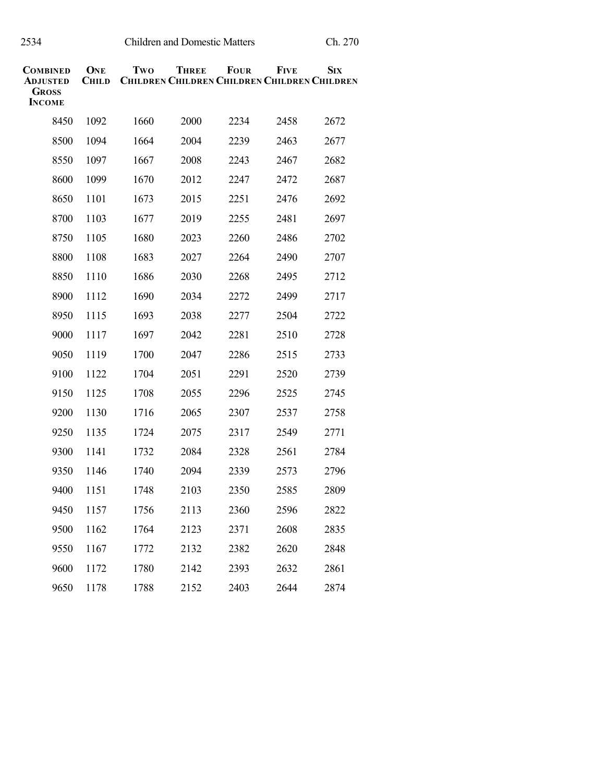| COMBINED<br>Adjusted<br><b>GROSS</b><br><b>INCOME</b> | <b>ONE</b><br><b>CHILD</b> | Two  | <b>THREE</b><br><b>CHILDREN CHILDREN CHILDREN CHILDREN CHILDREN</b> | <b>FOUR</b> | <b>FIVE</b> | <b>SIX</b> |
|-------------------------------------------------------|----------------------------|------|---------------------------------------------------------------------|-------------|-------------|------------|
| 8450                                                  | 1092                       | 1660 | 2000                                                                | 2234        | 2458        | 2672       |
| 8500                                                  | 1094                       | 1664 | 2004                                                                | 2239        | 2463        | 2677       |
| 8550                                                  | 1097                       | 1667 | 2008                                                                | 2243        | 2467        | 2682       |
| 8600                                                  | 1099                       | 1670 | 2012                                                                | 2247        | 2472        | 2687       |
| 8650                                                  | 1101                       | 1673 | 2015                                                                | 2251        | 2476        | 2692       |
| 8700                                                  | 1103                       | 1677 | 2019                                                                | 2255        | 2481        | 2697       |
| 8750                                                  | 1105                       | 1680 | 2023                                                                | 2260        | 2486        | 2702       |
| 8800                                                  | 1108                       | 1683 | 2027                                                                | 2264        | 2490        | 2707       |
| 8850                                                  | 1110                       | 1686 | 2030                                                                | 2268        | 2495        | 2712       |
| 8900                                                  | 1112                       | 1690 | 2034                                                                | 2272        | 2499        | 2717       |
| 8950                                                  | 1115                       | 1693 | 2038                                                                | 2277        | 2504        | 2722       |
| 9000                                                  | 1117                       | 1697 | 2042                                                                | 2281        | 2510        | 2728       |
| 9050                                                  | 1119                       | 1700 | 2047                                                                | 2286        | 2515        | 2733       |
| 9100                                                  | 1122                       | 1704 | 2051                                                                | 2291        | 2520        | 2739       |
| 9150                                                  | 1125                       | 1708 | 2055                                                                | 2296        | 2525        | 2745       |
| 9200                                                  | 1130                       | 1716 | 2065                                                                | 2307        | 2537        | 2758       |
| 9250                                                  | 1135                       | 1724 | 2075                                                                | 2317        | 2549        | 2771       |
| 9300                                                  | 1141                       | 1732 | 2084                                                                | 2328        | 2561        | 2784       |
| 9350                                                  | 1146                       | 1740 | 2094                                                                | 2339        | 2573        | 2796       |
| 9400                                                  | 1151                       | 1748 | 2103                                                                | 2350        | 2585        | 2809       |
| 9450                                                  | 1157                       | 1756 | 2113                                                                | 2360        | 2596        | 2822       |
| 9500                                                  | 1162                       | 1764 | 2123                                                                | 2371        | 2608        | 2835       |
| 9550                                                  | 1167                       | 1772 | 2132                                                                | 2382        | 2620        | 2848       |
| 9600                                                  | 1172                       | 1780 | 2142                                                                | 2393        | 2632        | 2861       |
| 9650                                                  | 1178                       | 1788 | 2152                                                                | 2403        | 2644        | 2874       |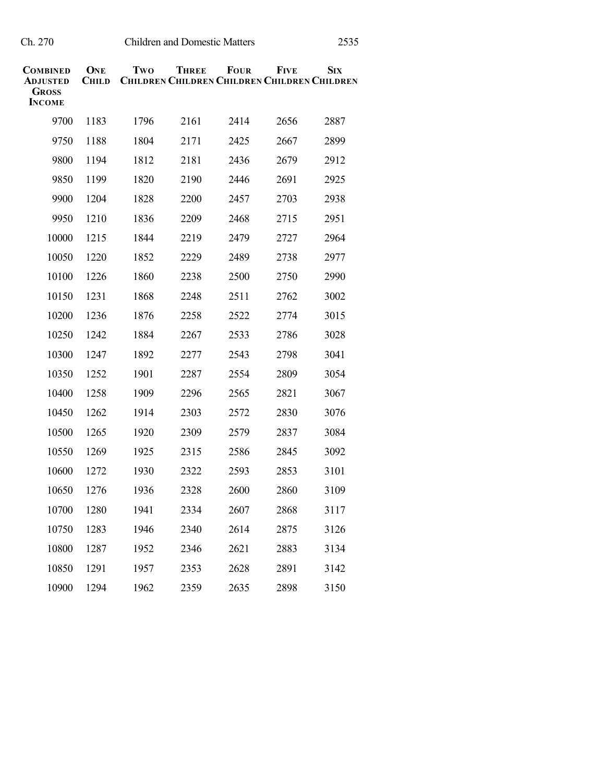| <b>COMBINED</b><br><b>ADJUSTED</b><br><b>GROSS</b><br><b>INCOME</b> | ONE<br><b>CHILD</b> | Two  | <b>THREE</b><br><b>CHILDREN CHILDREN CHILDREN CHILDREN CHILDREN</b> | <b>FOUR</b> | <b>FIVE</b> | <b>SIX</b> |
|---------------------------------------------------------------------|---------------------|------|---------------------------------------------------------------------|-------------|-------------|------------|
| 9700                                                                | 1183                | 1796 | 2161                                                                | 2414        | 2656        | 2887       |
| 9750                                                                | 1188                | 1804 | 2171                                                                | 2425        | 2667        | 2899       |
| 9800                                                                | 1194                | 1812 | 2181                                                                | 2436        | 2679        | 2912       |
| 9850                                                                | 1199                | 1820 | 2190                                                                | 2446        | 2691        | 2925       |
| 9900                                                                | 1204                | 1828 | 2200                                                                | 2457        | 2703        | 2938       |
| 9950                                                                | 1210                | 1836 | 2209                                                                | 2468        | 2715        | 2951       |
| 10000                                                               | 1215                | 1844 | 2219                                                                | 2479        | 2727        | 2964       |
| 10050                                                               | 1220                | 1852 | 2229                                                                | 2489        | 2738        | 2977       |
| 10100                                                               | 1226                | 1860 | 2238                                                                | 2500        | 2750        | 2990       |
| 10150                                                               | 1231                | 1868 | 2248                                                                | 2511        | 2762        | 3002       |
| 10200                                                               | 1236                | 1876 | 2258                                                                | 2522        | 2774        | 3015       |
| 10250                                                               | 1242                | 1884 | 2267                                                                | 2533        | 2786        | 3028       |
| 10300                                                               | 1247                | 1892 | 2277                                                                | 2543        | 2798        | 3041       |
| 10350                                                               | 1252                | 1901 | 2287                                                                | 2554        | 2809        | 3054       |
| 10400                                                               | 1258                | 1909 | 2296                                                                | 2565        | 2821        | 3067       |
| 10450                                                               | 1262                | 1914 | 2303                                                                | 2572        | 2830        | 3076       |
| 10500                                                               | 1265                | 1920 | 2309                                                                | 2579        | 2837        | 3084       |
| 10550                                                               | 1269                | 1925 | 2315                                                                | 2586        | 2845        | 3092       |
| 10600                                                               | 1272                | 1930 | 2322                                                                | 2593        | 2853        | 3101       |
| 10650                                                               | 1276                | 1936 | 2328                                                                | 2600        | 2860        | 3109       |
| 10700                                                               | 1280                | 1941 | 2334                                                                | 2607        | 2868        | 3117       |
| 10750                                                               | 1283                | 1946 | 2340                                                                | 2614        | 2875        | 3126       |
| 10800                                                               | 1287                | 1952 | 2346                                                                | 2621        | 2883        | 3134       |
| 10850                                                               | 1291                | 1957 | 2353                                                                | 2628        | 2891        | 3142       |
| 10900                                                               | 1294                | 1962 | 2359                                                                | 2635        | 2898        | 3150       |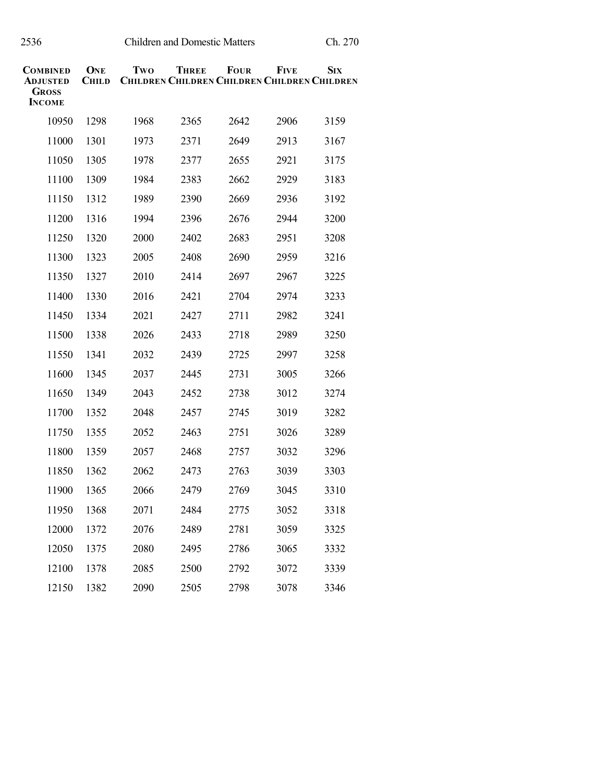| COMBINED<br>ADJUSTED<br><b>GROSS</b><br><b>INCOME</b> | ONE<br><b>CHILD</b> | Two  | <b>THREE</b><br><b>CHILDREN CHILDREN CHILDREN CHILDREN CHILDREN</b> | <b>FOUR</b> | <b>FIVE</b> | <b>SIX</b> |
|-------------------------------------------------------|---------------------|------|---------------------------------------------------------------------|-------------|-------------|------------|
| 10950                                                 | 1298                | 1968 | 2365                                                                | 2642        | 2906        | 3159       |
| 11000                                                 | 1301                | 1973 | 2371                                                                | 2649        | 2913        | 3167       |
| 11050                                                 | 1305                | 1978 | 2377                                                                | 2655        | 2921        | 3175       |
| 11100                                                 | 1309                | 1984 | 2383                                                                | 2662        | 2929        | 3183       |
| 11150                                                 | 1312                | 1989 | 2390                                                                | 2669        | 2936        | 3192       |
| 11200                                                 | 1316                | 1994 | 2396                                                                | 2676        | 2944        | 3200       |
| 11250                                                 | 1320                | 2000 | 2402                                                                | 2683        | 2951        | 3208       |
| 11300                                                 | 1323                | 2005 | 2408                                                                | 2690        | 2959        | 3216       |
| 11350                                                 | 1327                | 2010 | 2414                                                                | 2697        | 2967        | 3225       |
| 11400                                                 | 1330                | 2016 | 2421                                                                | 2704        | 2974        | 3233       |
| 11450                                                 | 1334                | 2021 | 2427                                                                | 2711        | 2982        | 3241       |
| 11500                                                 | 1338                | 2026 | 2433                                                                | 2718        | 2989        | 3250       |
| 11550                                                 | 1341                | 2032 | 2439                                                                | 2725        | 2997        | 3258       |
| 11600                                                 | 1345                | 2037 | 2445                                                                | 2731        | 3005        | 3266       |
| 11650                                                 | 1349                | 2043 | 2452                                                                | 2738        | 3012        | 3274       |
| 11700                                                 | 1352                | 2048 | 2457                                                                | 2745        | 3019        | 3282       |
| 11750                                                 | 1355                | 2052 | 2463                                                                | 2751        | 3026        | 3289       |
| 11800                                                 | 1359                | 2057 | 2468                                                                | 2757        | 3032        | 3296       |
| 11850                                                 | 1362                | 2062 | 2473                                                                | 2763        | 3039        | 3303       |
| 11900                                                 | 1365                | 2066 | 2479                                                                | 2769        | 3045        | 3310       |
| 11950                                                 | 1368                | 2071 | 2484                                                                | 2775        | 3052        | 3318       |
| 12000                                                 | 1372                | 2076 | 2489                                                                | 2781        | 3059        | 3325       |
| 12050                                                 | 1375                | 2080 | 2495                                                                | 2786        | 3065        | 3332       |
| 12100                                                 | 1378                | 2085 | 2500                                                                | 2792        | 3072        | 3339       |
| 12150                                                 | 1382                | 2090 | 2505                                                                | 2798        | 3078        | 3346       |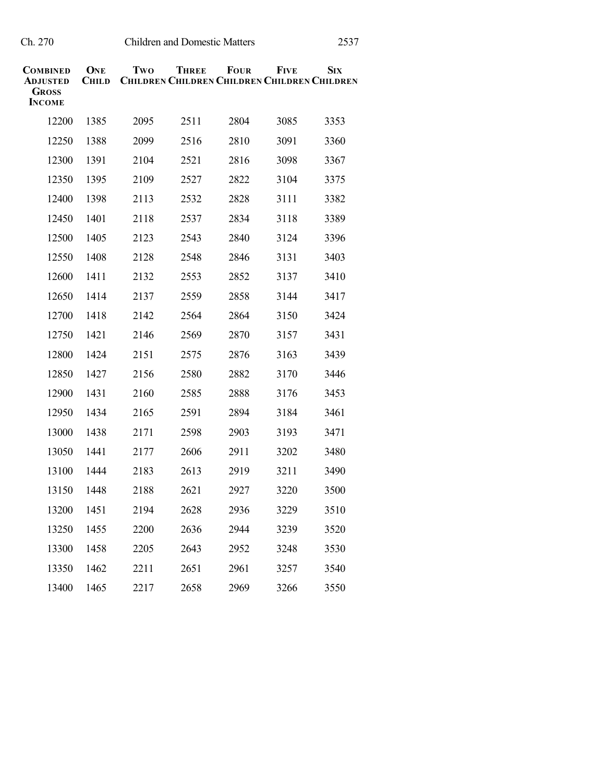| COMBINED<br><b>ADJUSTED</b><br>Gross<br><b>INCOME</b> | ONE<br><b>CHILD</b> | Two  | <b>THREE</b><br><b>CHILDREN CHILDREN CHILDREN CHILDREN CHILDREN</b> | <b>FOUR</b> | <b>FIVE</b> | <b>SIX</b> |
|-------------------------------------------------------|---------------------|------|---------------------------------------------------------------------|-------------|-------------|------------|
| 12200                                                 | 1385                | 2095 | 2511                                                                | 2804        | 3085        | 3353       |
| 12250                                                 | 1388                | 2099 | 2516                                                                | 2810        | 3091        | 3360       |
| 12300                                                 | 1391                | 2104 | 2521                                                                | 2816        | 3098        | 3367       |
| 12350                                                 | 1395                | 2109 | 2527                                                                | 2822        | 3104        | 3375       |
| 12400                                                 | 1398                | 2113 | 2532                                                                | 2828        | 3111        | 3382       |
| 12450                                                 | 1401                | 2118 | 2537                                                                | 2834        | 3118        | 3389       |
| 12500                                                 | 1405                | 2123 | 2543                                                                | 2840        | 3124        | 3396       |
| 12550                                                 | 1408                | 2128 | 2548                                                                | 2846        | 3131        | 3403       |
| 12600                                                 | 1411                | 2132 | 2553                                                                | 2852        | 3137        | 3410       |
| 12650                                                 | 1414                | 2137 | 2559                                                                | 2858        | 3144        | 3417       |
| 12700                                                 | 1418                | 2142 | 2564                                                                | 2864        | 3150        | 3424       |
| 12750                                                 | 1421                | 2146 | 2569                                                                | 2870        | 3157        | 3431       |
| 12800                                                 | 1424                | 2151 | 2575                                                                | 2876        | 3163        | 3439       |
| 12850                                                 | 1427                | 2156 | 2580                                                                | 2882        | 3170        | 3446       |
| 12900                                                 | 1431                | 2160 | 2585                                                                | 2888        | 3176        | 3453       |
| 12950                                                 | 1434                | 2165 | 2591                                                                | 2894        | 3184        | 3461       |
| 13000                                                 | 1438                | 2171 | 2598                                                                | 2903        | 3193        | 3471       |
| 13050                                                 | 1441                | 2177 | 2606                                                                | 2911        | 3202        | 3480       |
| 13100                                                 | 1444                | 2183 | 2613                                                                | 2919        | 3211        | 3490       |
| 13150                                                 | 1448                | 2188 | 2621                                                                | 2927        | 3220        | 3500       |
| 13200                                                 | 1451                | 2194 | 2628                                                                | 2936        | 3229        | 3510       |
| 13250                                                 | 1455                | 2200 | 2636                                                                | 2944        | 3239        | 3520       |
| 13300                                                 | 1458                | 2205 | 2643                                                                | 2952        | 3248        | 3530       |
| 13350                                                 | 1462                | 2211 | 2651                                                                | 2961        | 3257        | 3540       |
| 13400                                                 | 1465                | 2217 | 2658                                                                | 2969        | 3266        | 3550       |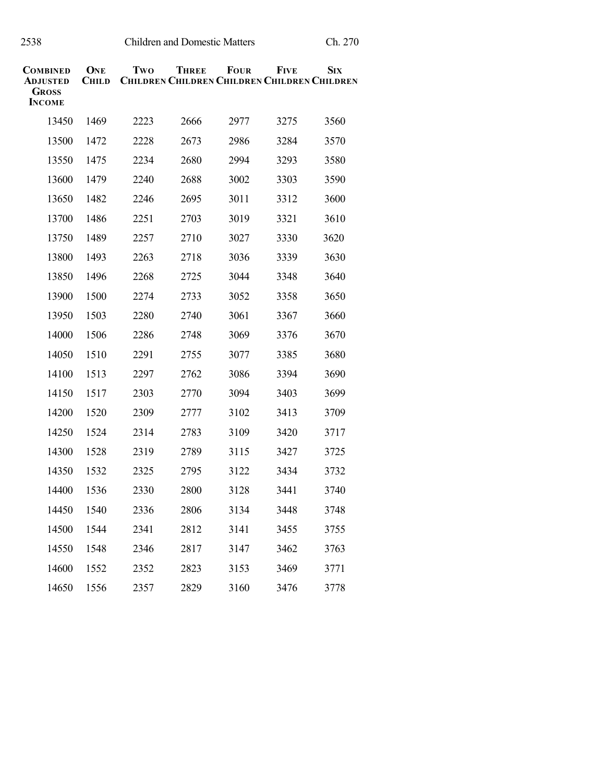| COMBINED<br>ADJUSTED<br>Gross<br><b>INCOME</b> | ONE<br><b>CHILD</b> | Two  | THREE<br><b>CHILDREN CHILDREN CHILDREN CHILDREN CHILDREN</b> | <b>FOUR</b> | Five | <b>S</b> IX |
|------------------------------------------------|---------------------|------|--------------------------------------------------------------|-------------|------|-------------|
| 13450                                          | 1469                | 2223 | 2666                                                         | 2977        | 3275 | 3560        |
| 13500                                          | 1472                | 2228 | 2673                                                         | 2986        | 3284 | 3570        |
| 13550                                          | 1475                | 2234 | 2680                                                         | 2994        | 3293 | 3580        |
| 13600                                          | 1479                | 2240 | 2688                                                         | 3002        | 3303 | 3590        |
| 13650                                          | 1482                | 2246 | 2695                                                         | 3011        | 3312 | 3600        |
| 13700                                          | 1486                | 2251 | 2703                                                         | 3019        | 3321 | 3610        |
| 13750                                          | 1489                | 2257 | 2710                                                         | 3027        | 3330 | 3620        |
| 13800                                          | 1493                | 2263 | 2718                                                         | 3036        | 3339 | 3630        |
| 13850                                          | 1496                | 2268 | 2725                                                         | 3044        | 3348 | 3640        |
| 13900                                          | 1500                | 2274 | 2733                                                         | 3052        | 3358 | 3650        |
| 13950                                          | 1503                | 2280 | 2740                                                         | 3061        | 3367 | 3660        |
| 14000                                          | 1506                | 2286 | 2748                                                         | 3069        | 3376 | 3670        |
| 14050                                          | 1510                | 2291 | 2755                                                         | 3077        | 3385 | 3680        |
| 14100                                          | 1513                | 2297 | 2762                                                         | 3086        | 3394 | 3690        |
| 14150                                          | 1517                | 2303 | 2770                                                         | 3094        | 3403 | 3699        |
| 14200                                          | 1520                | 2309 | 2777                                                         | 3102        | 3413 | 3709        |
| 14250                                          | 1524                | 2314 | 2783                                                         | 3109        | 3420 | 3717        |
| 14300                                          | 1528                | 2319 | 2789                                                         | 3115        | 3427 | 3725        |
| 14350                                          | 1532                | 2325 | 2795                                                         | 3122        | 3434 | 3732        |
| 14400                                          | 1536                | 2330 | 2800                                                         | 3128        | 3441 | 3740        |
| 14450                                          | 1540                | 2336 | 2806                                                         | 3134        | 3448 | 3748        |
| 14500                                          | 1544                | 2341 | 2812                                                         | 3141        | 3455 | 3755        |
| 14550                                          | 1548                | 2346 | 2817                                                         | 3147        | 3462 | 3763        |
| 14600                                          | 1552                | 2352 | 2823                                                         | 3153        | 3469 | 3771        |
| 14650                                          | 1556                | 2357 | 2829                                                         | 3160        | 3476 | 3778        |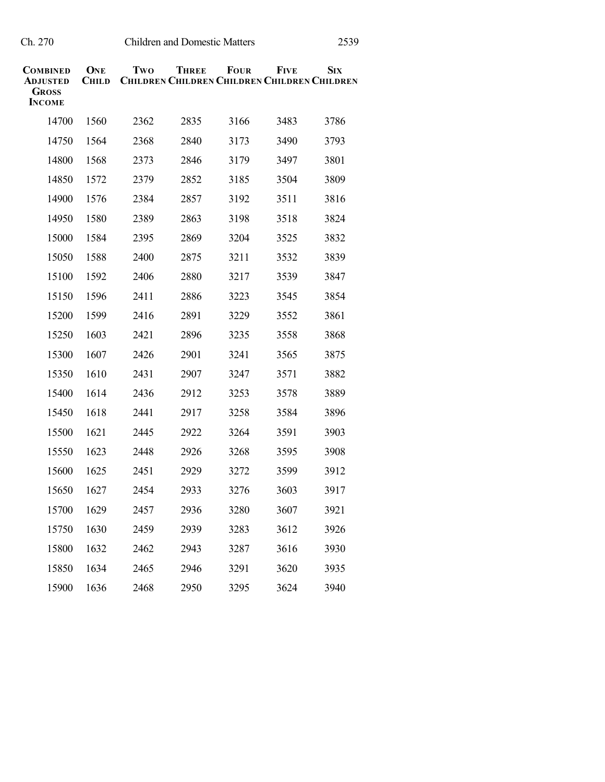| COMBINED<br>ADJUSTED<br>Gross<br><b>INCOME</b> | ONE<br><b>CHILD</b> | Two  | <b>THREE</b><br><b>CHILDREN CHILDREN CHILDREN CHILDREN CHILDREN</b> | <b>FOUR</b> | <b>FIVE</b> | <b>SIX</b> |
|------------------------------------------------|---------------------|------|---------------------------------------------------------------------|-------------|-------------|------------|
| 14700                                          | 1560                | 2362 | 2835                                                                | 3166        | 3483        | 3786       |
| 14750                                          | 1564                | 2368 | 2840                                                                | 3173        | 3490        | 3793       |
| 14800                                          | 1568                | 2373 | 2846                                                                | 3179        | 3497        | 3801       |
| 14850                                          | 1572                | 2379 | 2852                                                                | 3185        | 3504        | 3809       |
| 14900                                          | 1576                | 2384 | 2857                                                                | 3192        | 3511        | 3816       |
| 14950                                          | 1580                | 2389 | 2863                                                                | 3198        | 3518        | 3824       |
| 15000                                          | 1584                | 2395 | 2869                                                                | 3204        | 3525        | 3832       |
| 15050                                          | 1588                | 2400 | 2875                                                                | 3211        | 3532        | 3839       |
| 15100                                          | 1592                | 2406 | 2880                                                                | 3217        | 3539        | 3847       |
| 15150                                          | 1596                | 2411 | 2886                                                                | 3223        | 3545        | 3854       |
| 15200                                          | 1599                | 2416 | 2891                                                                | 3229        | 3552        | 3861       |
| 15250                                          | 1603                | 2421 | 2896                                                                | 3235        | 3558        | 3868       |
| 15300                                          | 1607                | 2426 | 2901                                                                | 3241        | 3565        | 3875       |
| 15350                                          | 1610                | 2431 | 2907                                                                | 3247        | 3571        | 3882       |
| 15400                                          | 1614                | 2436 | 2912                                                                | 3253        | 3578        | 3889       |
| 15450                                          | 1618                | 2441 | 2917                                                                | 3258        | 3584        | 3896       |
| 15500                                          | 1621                | 2445 | 2922                                                                | 3264        | 3591        | 3903       |
| 15550                                          | 1623                | 2448 | 2926                                                                | 3268        | 3595        | 3908       |
| 15600                                          | 1625                | 2451 | 2929                                                                | 3272        | 3599        | 3912       |
| 15650                                          | 1627                | 2454 | 2933                                                                | 3276        | 3603        | 3917       |
| 15700                                          | 1629                | 2457 | 2936                                                                | 3280        | 3607        | 3921       |
| 15750                                          | 1630                | 2459 | 2939                                                                | 3283        | 3612        | 3926       |
| 15800                                          | 1632                | 2462 | 2943                                                                | 3287        | 3616        | 3930       |
| 15850                                          | 1634                | 2465 | 2946                                                                | 3291        | 3620        | 3935       |
| 15900                                          | 1636                | 2468 | 2950                                                                | 3295        | 3624        | 3940       |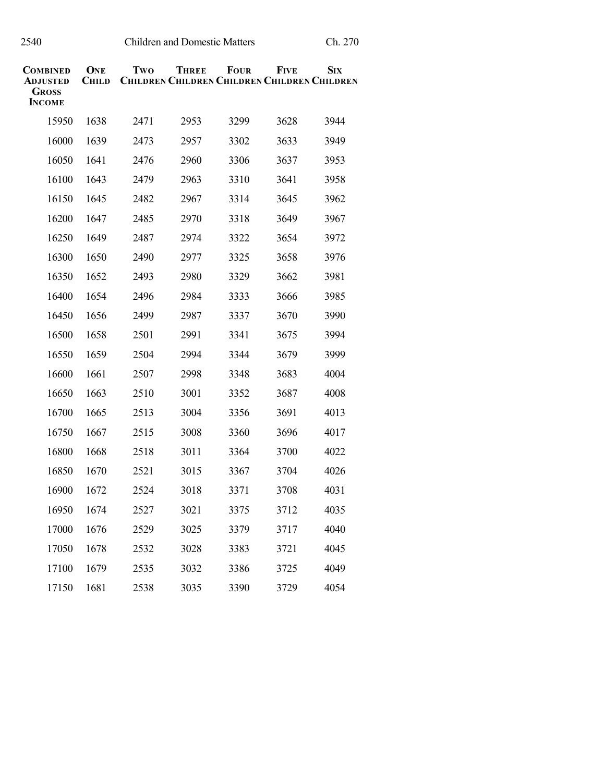| COMBINED<br>ADJUSTED<br><b>GROSS</b><br><b>INCOME</b> | ONE<br><b>CHILD</b> | Two  | THREE<br><b>CHILDREN CHILDREN CHILDREN CHILDREN CHILDREN</b> | <b>FOUR</b> | Five | <b>Six</b> |
|-------------------------------------------------------|---------------------|------|--------------------------------------------------------------|-------------|------|------------|
| 15950                                                 | 1638                | 2471 | 2953                                                         | 3299        | 3628 | 3944       |
| 16000                                                 | 1639                | 2473 | 2957                                                         | 3302        | 3633 | 3949       |
| 16050                                                 | 1641                | 2476 | 2960                                                         | 3306        | 3637 | 3953       |
| 16100                                                 | 1643                | 2479 | 2963                                                         | 3310        | 3641 | 3958       |
| 16150                                                 | 1645                | 2482 | 2967                                                         | 3314        | 3645 | 3962       |
| 16200                                                 | 1647                | 2485 | 2970                                                         | 3318        | 3649 | 3967       |
| 16250                                                 | 1649                | 2487 | 2974                                                         | 3322        | 3654 | 3972       |
| 16300                                                 | 1650                | 2490 | 2977                                                         | 3325        | 3658 | 3976       |
| 16350                                                 | 1652                | 2493 | 2980                                                         | 3329        | 3662 | 3981       |
| 16400                                                 | 1654                | 2496 | 2984                                                         | 3333        | 3666 | 3985       |
| 16450                                                 | 1656                | 2499 | 2987                                                         | 3337        | 3670 | 3990       |
| 16500                                                 | 1658                | 2501 | 2991                                                         | 3341        | 3675 | 3994       |
| 16550                                                 | 1659                | 2504 | 2994                                                         | 3344        | 3679 | 3999       |
| 16600                                                 | 1661                | 2507 | 2998                                                         | 3348        | 3683 | 4004       |
| 16650                                                 | 1663                | 2510 | 3001                                                         | 3352        | 3687 | 4008       |
| 16700                                                 | 1665                | 2513 | 3004                                                         | 3356        | 3691 | 4013       |
| 16750                                                 | 1667                | 2515 | 3008                                                         | 3360        | 3696 | 4017       |
| 16800                                                 | 1668                | 2518 | 3011                                                         | 3364        | 3700 | 4022       |
| 16850                                                 | 1670                | 2521 | 3015                                                         | 3367        | 3704 | 4026       |
| 16900                                                 | 1672                | 2524 | 3018                                                         | 3371        | 3708 | 4031       |
| 16950                                                 | 1674                | 2527 | 3021                                                         | 3375        | 3712 | 4035       |
| 17000                                                 | 1676                | 2529 | 3025                                                         | 3379        | 3717 | 4040       |
| 17050                                                 | 1678                | 2532 | 3028                                                         | 3383        | 3721 | 4045       |
| 17100                                                 | 1679                | 2535 | 3032                                                         | 3386        | 3725 | 4049       |
| 17150                                                 | 1681                | 2538 | 3035                                                         | 3390        | 3729 | 4054       |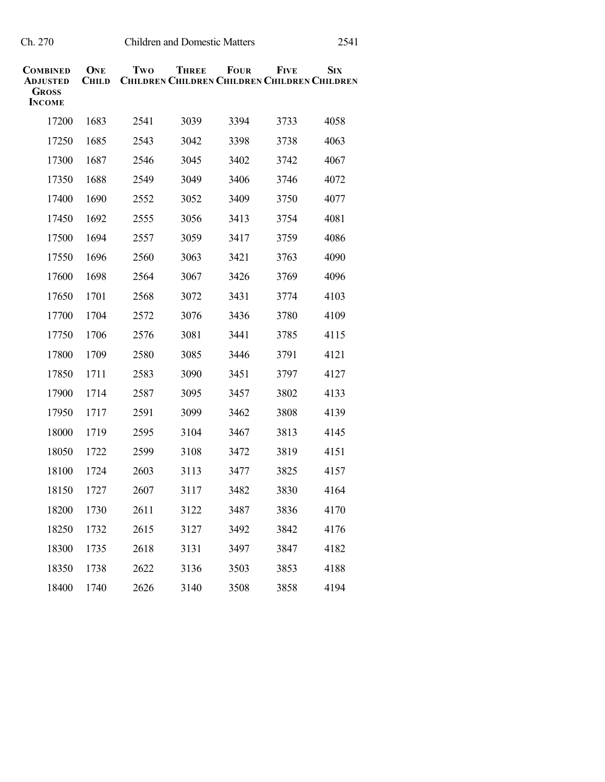| COMBINED<br>ADJUSTED<br><b>GROSS</b><br><b>INCOME</b> | ONE<br><b>CHILD</b> | Two  | <b>THREE</b><br><b>CHILDREN CHILDREN CHILDREN CHILDREN CHILDREN</b> | <b>FOUR</b> | <b>FIVE</b> | <b>S</b> IX |
|-------------------------------------------------------|---------------------|------|---------------------------------------------------------------------|-------------|-------------|-------------|
| 17200                                                 | 1683                | 2541 | 3039                                                                | 3394        | 3733        | 4058        |
| 17250                                                 | 1685                | 2543 | 3042                                                                | 3398        | 3738        | 4063        |
| 17300                                                 | 1687                | 2546 | 3045                                                                | 3402        | 3742        | 4067        |
| 17350                                                 | 1688                | 2549 | 3049                                                                | 3406        | 3746        | 4072        |
| 17400                                                 | 1690                | 2552 | 3052                                                                | 3409        | 3750        | 4077        |
| 17450                                                 | 1692                | 2555 | 3056                                                                | 3413        | 3754        | 4081        |
| 17500                                                 | 1694                | 2557 | 3059                                                                | 3417        | 3759        | 4086        |
| 17550                                                 | 1696                | 2560 | 3063                                                                | 3421        | 3763        | 4090        |
| 17600                                                 | 1698                | 2564 | 3067                                                                | 3426        | 3769        | 4096        |
| 17650                                                 | 1701                | 2568 | 3072                                                                | 3431        | 3774        | 4103        |
| 17700                                                 | 1704                | 2572 | 3076                                                                | 3436        | 3780        | 4109        |
| 17750                                                 | 1706                | 2576 | 3081                                                                | 3441        | 3785        | 4115        |
| 17800                                                 | 1709                | 2580 | 3085                                                                | 3446        | 3791        | 4121        |
| 17850                                                 | 1711                | 2583 | 3090                                                                | 3451        | 3797        | 4127        |
| 17900                                                 | 1714                | 2587 | 3095                                                                | 3457        | 3802        | 4133        |
| 17950                                                 | 1717                | 2591 | 3099                                                                | 3462        | 3808        | 4139        |
| 18000                                                 | 1719                | 2595 | 3104                                                                | 3467        | 3813        | 4145        |
| 18050                                                 | 1722                | 2599 | 3108                                                                | 3472        | 3819        | 4151        |
| 18100                                                 | 1724                | 2603 | 3113                                                                | 3477        | 3825        | 4157        |
| 18150                                                 | 1727                | 2607 | 3117                                                                | 3482        | 3830        | 4164        |
| 18200                                                 | 1730                | 2611 | 3122                                                                | 3487        | 3836        | 4170        |
| 18250                                                 | 1732                | 2615 | 3127                                                                | 3492        | 3842        | 4176        |
| 18300                                                 | 1735                | 2618 | 3131                                                                | 3497        | 3847        | 4182        |
| 18350                                                 | 1738                | 2622 | 3136                                                                | 3503        | 3853        | 4188        |
| 18400                                                 | 1740                | 2626 | 3140                                                                | 3508        | 3858        | 4194        |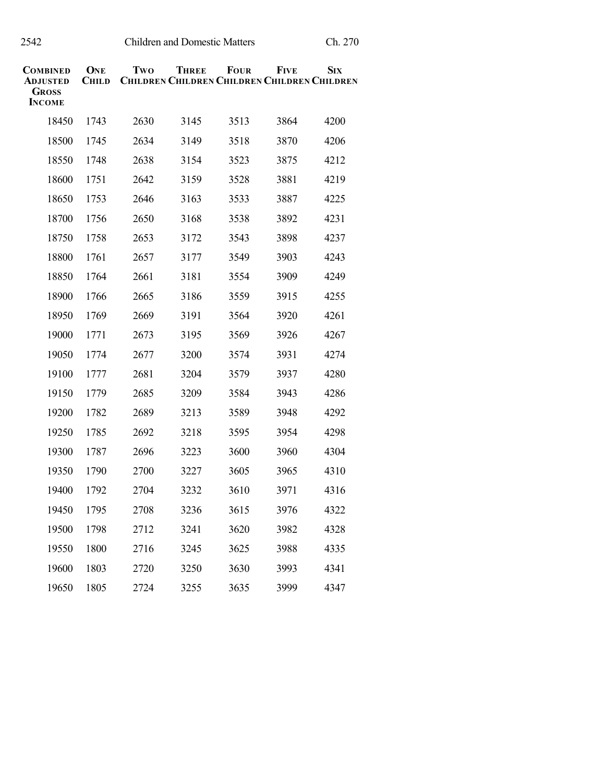| COMBINED<br>ADJUSTED<br><b>GROSS</b><br><b>INCOME</b> | ONE<br><b>CHILD</b> | Two  | <b>THREE</b><br><b>CHILDREN CHILDREN CHILDREN CHILDREN CHILDREN</b> | FOUR | <b>FIVE</b> | <b>SIX</b> |
|-------------------------------------------------------|---------------------|------|---------------------------------------------------------------------|------|-------------|------------|
| 18450                                                 | 1743                | 2630 | 3145                                                                | 3513 | 3864        | 4200       |
| 18500                                                 | 1745                | 2634 | 3149                                                                | 3518 | 3870        | 4206       |
| 18550                                                 | 1748                | 2638 | 3154                                                                | 3523 | 3875        | 4212       |
| 18600                                                 | 1751                | 2642 | 3159                                                                | 3528 | 3881        | 4219       |
| 18650                                                 | 1753                | 2646 | 3163                                                                | 3533 | 3887        | 4225       |
| 18700                                                 | 1756                | 2650 | 3168                                                                | 3538 | 3892        | 4231       |
| 18750                                                 | 1758                | 2653 | 3172                                                                | 3543 | 3898        | 4237       |
| 18800                                                 | 1761                | 2657 | 3177                                                                | 3549 | 3903        | 4243       |
| 18850                                                 | 1764                | 2661 | 3181                                                                | 3554 | 3909        | 4249       |
| 18900                                                 | 1766                | 2665 | 3186                                                                | 3559 | 3915        | 4255       |
| 18950                                                 | 1769                | 2669 | 3191                                                                | 3564 | 3920        | 4261       |
| 19000                                                 | 1771                | 2673 | 3195                                                                | 3569 | 3926        | 4267       |
| 19050                                                 | 1774                | 2677 | 3200                                                                | 3574 | 3931        | 4274       |
| 19100                                                 | 1777                | 2681 | 3204                                                                | 3579 | 3937        | 4280       |
| 19150                                                 | 1779                | 2685 | 3209                                                                | 3584 | 3943        | 4286       |
| 19200                                                 | 1782                | 2689 | 3213                                                                | 3589 | 3948        | 4292       |
| 19250                                                 | 1785                | 2692 | 3218                                                                | 3595 | 3954        | 4298       |
| 19300                                                 | 1787                | 2696 | 3223                                                                | 3600 | 3960        | 4304       |
| 19350                                                 | 1790                | 2700 | 3227                                                                | 3605 | 3965        | 4310       |
| 19400                                                 | 1792                | 2704 | 3232                                                                | 3610 | 3971        | 4316       |
| 19450                                                 | 1795                | 2708 | 3236                                                                | 3615 | 3976        | 4322       |
| 19500                                                 | 1798                | 2712 | 3241                                                                | 3620 | 3982        | 4328       |
| 19550                                                 | 1800                | 2716 | 3245                                                                | 3625 | 3988        | 4335       |
| 19600                                                 | 1803                | 2720 | 3250                                                                | 3630 | 3993        | 4341       |
| 19650                                                 | 1805                | 2724 | 3255                                                                | 3635 | 3999        | 4347       |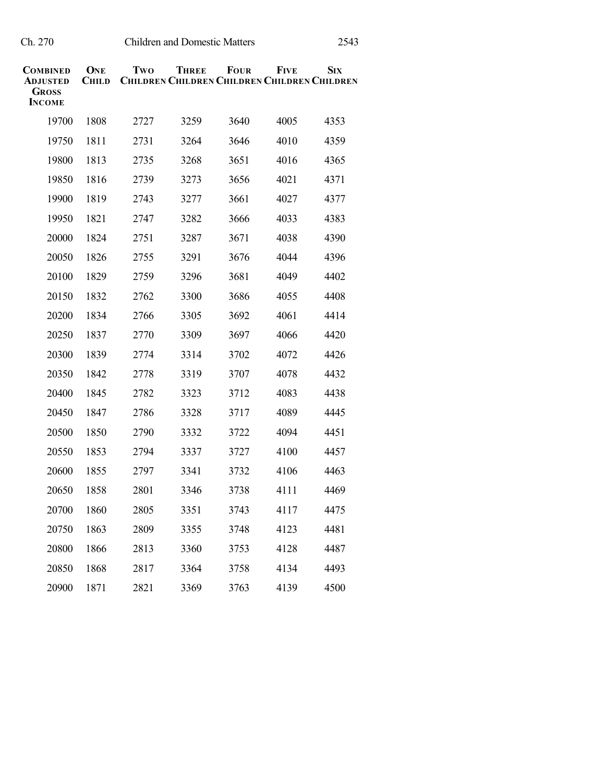| COMBINED<br>ADJUSTED<br><b>GROSS</b><br><b>INCOME</b> | ONE<br><b>CHILD</b> | Two  | <b>THREE</b><br><b>CHILDREN CHILDREN CHILDREN CHILDREN CHILDREN</b> | <b>FOUR</b> | <b>FIVE</b> | <b>S</b> IX |
|-------------------------------------------------------|---------------------|------|---------------------------------------------------------------------|-------------|-------------|-------------|
| 19700                                                 | 1808                | 2727 | 3259                                                                | 3640        | 4005        | 4353        |
| 19750                                                 | 1811                | 2731 | 3264                                                                | 3646        | 4010        | 4359        |
| 19800                                                 | 1813                | 2735 | 3268                                                                | 3651        | 4016        | 4365        |
| 19850                                                 | 1816                | 2739 | 3273                                                                | 3656        | 4021        | 4371        |
| 19900                                                 | 1819                | 2743 | 3277                                                                | 3661        | 4027        | 4377        |
| 19950                                                 | 1821                | 2747 | 3282                                                                | 3666        | 4033        | 4383        |
| 20000                                                 | 1824                | 2751 | 3287                                                                | 3671        | 4038        | 4390        |
| 20050                                                 | 1826                | 2755 | 3291                                                                | 3676        | 4044        | 4396        |
| 20100                                                 | 1829                | 2759 | 3296                                                                | 3681        | 4049        | 4402        |
| 20150                                                 | 1832                | 2762 | 3300                                                                | 3686        | 4055        | 4408        |
| 20200                                                 | 1834                | 2766 | 3305                                                                | 3692        | 4061        | 4414        |
| 20250                                                 | 1837                | 2770 | 3309                                                                | 3697        | 4066        | 4420        |
| 20300                                                 | 1839                | 2774 | 3314                                                                | 3702        | 4072        | 4426        |
| 20350                                                 | 1842                | 2778 | 3319                                                                | 3707        | 4078        | 4432        |
| 20400                                                 | 1845                | 2782 | 3323                                                                | 3712        | 4083        | 4438        |
| 20450                                                 | 1847                | 2786 | 3328                                                                | 3717        | 4089        | 4445        |
| 20500                                                 | 1850                | 2790 | 3332                                                                | 3722        | 4094        | 4451        |
| 20550                                                 | 1853                | 2794 | 3337                                                                | 3727        | 4100        | 4457        |
| 20600                                                 | 1855                | 2797 | 3341                                                                | 3732        | 4106        | 4463        |
| 20650                                                 | 1858                | 2801 | 3346                                                                | 3738        | 4111        | 4469        |
| 20700                                                 | 1860                | 2805 | 3351                                                                | 3743        | 4117        | 4475        |
| 20750                                                 | 1863                | 2809 | 3355                                                                | 3748        | 4123        | 4481        |
| 20800                                                 | 1866                | 2813 | 3360                                                                | 3753        | 4128        | 4487        |
| 20850                                                 | 1868                | 2817 | 3364                                                                | 3758        | 4134        | 4493        |
| 20900                                                 | 1871                | 2821 | 3369                                                                | 3763        | 4139        | 4500        |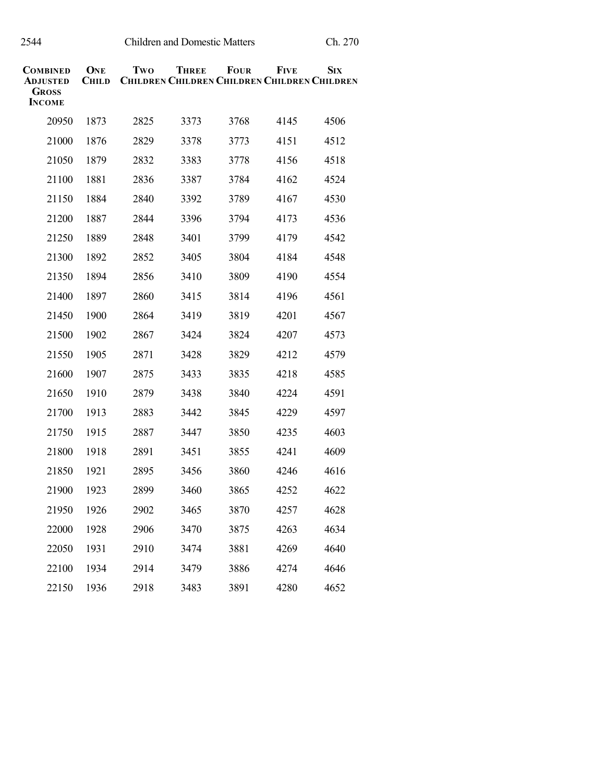| COMBINED<br>ADJUSTED<br><b>GROSS</b><br><b>INCOME</b> | ONE<br><b>CHILD</b> | Two  | THREE<br><b>CHILDREN CHILDREN CHILDREN CHILDREN CHILDREN</b> | <b>FOUR</b> | <b>FIVE</b> | <b>S</b> IX |
|-------------------------------------------------------|---------------------|------|--------------------------------------------------------------|-------------|-------------|-------------|
| 20950                                                 | 1873                | 2825 | 3373                                                         | 3768        | 4145        | 4506        |
| 21000                                                 | 1876                | 2829 | 3378                                                         | 3773        | 4151        | 4512        |
| 21050                                                 | 1879                | 2832 | 3383                                                         | 3778        | 4156        | 4518        |
| 21100                                                 | 1881                | 2836 | 3387                                                         | 3784        | 4162        | 4524        |
| 21150                                                 | 1884                | 2840 | 3392                                                         | 3789        | 4167        | 4530        |
| 21200                                                 | 1887                | 2844 | 3396                                                         | 3794        | 4173        | 4536        |
| 21250                                                 | 1889                | 2848 | 3401                                                         | 3799        | 4179        | 4542        |
| 21300                                                 | 1892                | 2852 | 3405                                                         | 3804        | 4184        | 4548        |
| 21350                                                 | 1894                | 2856 | 3410                                                         | 3809        | 4190        | 4554        |
| 21400                                                 | 1897                | 2860 | 3415                                                         | 3814        | 4196        | 4561        |
| 21450                                                 | 1900                | 2864 | 3419                                                         | 3819        | 4201        | 4567        |
| 21500                                                 | 1902                | 2867 | 3424                                                         | 3824        | 4207        | 4573        |
| 21550                                                 | 1905                | 2871 | 3428                                                         | 3829        | 4212        | 4579        |
| 21600                                                 | 1907                | 2875 | 3433                                                         | 3835        | 4218        | 4585        |
| 21650                                                 | 1910                | 2879 | 3438                                                         | 3840        | 4224        | 4591        |
| 21700                                                 | 1913                | 2883 | 3442                                                         | 3845        | 4229        | 4597        |
| 21750                                                 | 1915                | 2887 | 3447                                                         | 3850        | 4235        | 4603        |
| 21800                                                 | 1918                | 2891 | 3451                                                         | 3855        | 4241        | 4609        |
| 21850                                                 | 1921                | 2895 | 3456                                                         | 3860        | 4246        | 4616        |
| 21900                                                 | 1923                | 2899 | 3460                                                         | 3865        | 4252        | 4622        |
| 21950                                                 | 1926                | 2902 | 3465                                                         | 3870        | 4257        | 4628        |
| 22000                                                 | 1928                | 2906 | 3470                                                         | 3875        | 4263        | 4634        |
| 22050                                                 | 1931                | 2910 | 3474                                                         | 3881        | 4269        | 4640        |
| 22100                                                 | 1934                | 2914 | 3479                                                         | 3886        | 4274        | 4646        |
| 22150                                                 | 1936                | 2918 | 3483                                                         | 3891        | 4280        | 4652        |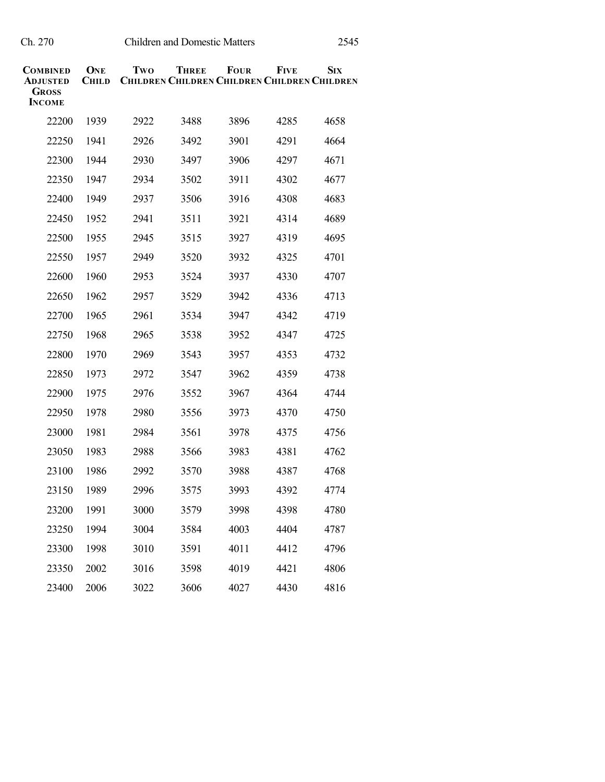| COMBINED<br>ADJUSTED<br><b>GROSS</b><br><b>INCOME</b> | ONE<br><b>CHILD</b> | Two  | <b>THREE</b><br><b>CHILDREN CHILDREN CHILDREN CHILDREN CHILDREN</b> | <b>FOUR</b> | <b>FIVE</b> | <b>SIX</b> |
|-------------------------------------------------------|---------------------|------|---------------------------------------------------------------------|-------------|-------------|------------|
| 22200                                                 | 1939                | 2922 | 3488                                                                | 3896        | 4285        | 4658       |
| 22250                                                 | 1941                | 2926 | 3492                                                                | 3901        | 4291        | 4664       |
| 22300                                                 | 1944                | 2930 | 3497                                                                | 3906        | 4297        | 4671       |
| 22350                                                 | 1947                | 2934 | 3502                                                                | 3911        | 4302        | 4677       |
| 22400                                                 | 1949                | 2937 | 3506                                                                | 3916        | 4308        | 4683       |
| 22450                                                 | 1952                | 2941 | 3511                                                                | 3921        | 4314        | 4689       |
| 22500                                                 | 1955                | 2945 | 3515                                                                | 3927        | 4319        | 4695       |
| 22550                                                 | 1957                | 2949 | 3520                                                                | 3932        | 4325        | 4701       |
| 22600                                                 | 1960                | 2953 | 3524                                                                | 3937        | 4330        | 4707       |
| 22650                                                 | 1962                | 2957 | 3529                                                                | 3942        | 4336        | 4713       |
| 22700                                                 | 1965                | 2961 | 3534                                                                | 3947        | 4342        | 4719       |
| 22750                                                 | 1968                | 2965 | 3538                                                                | 3952        | 4347        | 4725       |
| 22800                                                 | 1970                | 2969 | 3543                                                                | 3957        | 4353        | 4732       |
| 22850                                                 | 1973                | 2972 | 3547                                                                | 3962        | 4359        | 4738       |
| 22900                                                 | 1975                | 2976 | 3552                                                                | 3967        | 4364        | 4744       |
| 22950                                                 | 1978                | 2980 | 3556                                                                | 3973        | 4370        | 4750       |
| 23000                                                 | 1981                | 2984 | 3561                                                                | 3978        | 4375        | 4756       |
| 23050                                                 | 1983                | 2988 | 3566                                                                | 3983        | 4381        | 4762       |
| 23100                                                 | 1986                | 2992 | 3570                                                                | 3988        | 4387        | 4768       |
| 23150                                                 | 1989                | 2996 | 3575                                                                | 3993        | 4392        | 4774       |
| 23200                                                 | 1991                | 3000 | 3579                                                                | 3998        | 4398        | 4780       |
| 23250                                                 | 1994                | 3004 | 3584                                                                | 4003        | 4404        | 4787       |
| 23300                                                 | 1998                | 3010 | 3591                                                                | 4011        | 4412        | 4796       |
| 23350                                                 | 2002                | 3016 | 3598                                                                | 4019        | 4421        | 4806       |
| 23400                                                 | 2006                | 3022 | 3606                                                                | 4027        | 4430        | 4816       |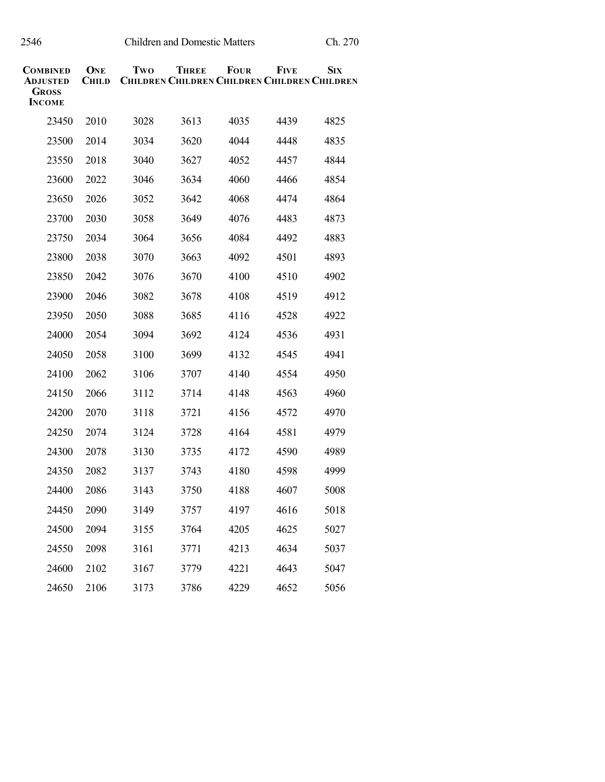| COMBINED<br>Adjusted<br><b>GROSS</b><br><b>INCOME</b> | ONE<br><b>CHILD</b> | Two  | THREE<br><b>CHILDREN CHILDREN CHILDREN CHILDREN CHILDREN</b> | <b>FOUR</b> | FIVE | $S_{IX}$ |
|-------------------------------------------------------|---------------------|------|--------------------------------------------------------------|-------------|------|----------|
|                                                       |                     |      |                                                              |             |      |          |
| 23450                                                 | 2010                | 3028 | 3613                                                         | 4035        | 4439 | 4825     |
| 23500                                                 | 2014                | 3034 | 3620                                                         | 4044        | 4448 | 4835     |
| 23550                                                 | 2018                | 3040 | 3627                                                         | 4052        | 4457 | 4844     |
| 23600                                                 | 2022                | 3046 | 3634                                                         | 4060        | 4466 | 4854     |
| 23650                                                 | 2026                | 3052 | 3642                                                         | 4068        | 4474 | 4864     |
| 23700                                                 | 2030                | 3058 | 3649                                                         | 4076        | 4483 | 4873     |
| 23750                                                 | 2034                | 3064 | 3656                                                         | 4084        | 4492 | 4883     |
| 23800                                                 | 2038                | 3070 | 3663                                                         | 4092        | 4501 | 4893     |
| 23850                                                 | 2042                | 3076 | 3670                                                         | 4100        | 4510 | 4902     |
| 23900                                                 | 2046                | 3082 | 3678                                                         | 4108        | 4519 | 4912     |
| 23950                                                 | 2050                | 3088 | 3685                                                         | 4116        | 4528 | 4922     |
| 24000                                                 | 2054                | 3094 | 3692                                                         | 4124        | 4536 | 4931     |
| 24050                                                 | 2058                | 3100 | 3699                                                         | 4132        | 4545 | 4941     |
| 24100                                                 | 2062                | 3106 | 3707                                                         | 4140        | 4554 | 4950     |
| 24150                                                 | 2066                | 3112 | 3714                                                         | 4148        | 4563 | 4960     |
| 24200                                                 | 2070                | 3118 | 3721                                                         | 4156        | 4572 | 4970     |
| 24250                                                 | 2074                | 3124 | 3728                                                         | 4164        | 4581 | 4979     |
| 24300                                                 | 2078                | 3130 | 3735                                                         | 4172        | 4590 | 4989     |
| 24350                                                 | 2082                | 3137 | 3743                                                         | 4180        | 4598 | 4999     |
| 24400                                                 | 2086                | 3143 | 3750                                                         | 4188        | 4607 | 5008     |
| 24450                                                 | 2090                | 3149 | 3757                                                         | 4197        | 4616 | 5018     |
| 24500                                                 | 2094                | 3155 | 3764                                                         | 4205        | 4625 | 5027     |
| 24550                                                 | 2098                | 3161 | 3771                                                         | 4213        | 4634 | 5037     |
| 24600                                                 | 2102                | 3167 | 3779                                                         | 4221        | 4643 | 5047     |
| 24650                                                 | 2106                | 3173 | 3786                                                         | 4229        | 4652 | 5056     |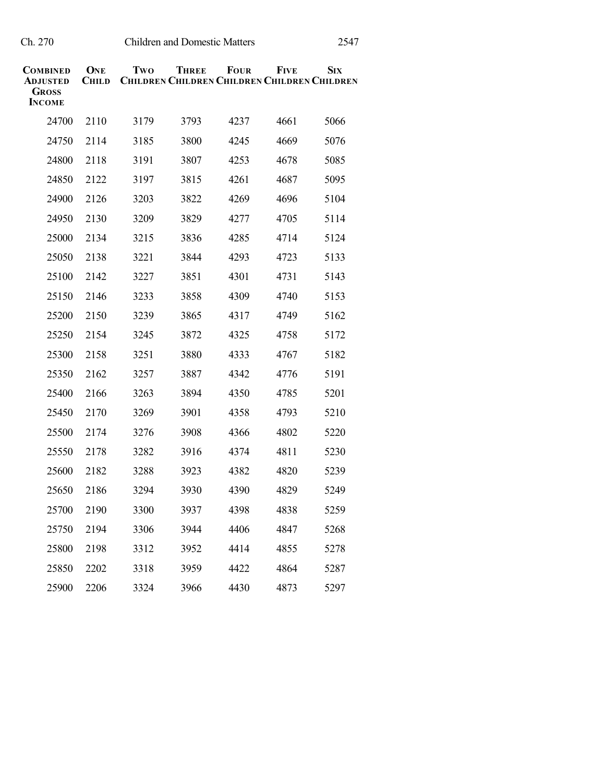| COMBINED<br>ADJUSTED<br><b>GROSS</b><br><b>INCOME</b> | ONE<br><b>CHILD</b> | Two  | <b>THREE</b><br><b>CHILDREN CHILDREN CHILDREN CHILDREN CHILDREN</b> | <b>FOUR</b> | <b>FIVE</b> | <b>S</b> IX |
|-------------------------------------------------------|---------------------|------|---------------------------------------------------------------------|-------------|-------------|-------------|
| 24700                                                 | 2110                | 3179 | 3793                                                                | 4237        | 4661        | 5066        |
| 24750                                                 | 2114                | 3185 | 3800                                                                | 4245        | 4669        | 5076        |
| 24800                                                 | 2118                | 3191 | 3807                                                                | 4253        | 4678        | 5085        |
| 24850                                                 | 2122                | 3197 | 3815                                                                | 4261        | 4687        | 5095        |
| 24900                                                 | 2126                | 3203 | 3822                                                                | 4269        | 4696        | 5104        |
| 24950                                                 | 2130                | 3209 | 3829                                                                | 4277        | 4705        | 5114        |
| 25000                                                 | 2134                | 3215 | 3836                                                                | 4285        | 4714        | 5124        |
| 25050                                                 | 2138                | 3221 | 3844                                                                | 4293        | 4723        | 5133        |
| 25100                                                 | 2142                | 3227 | 3851                                                                | 4301        | 4731        | 5143        |
| 25150                                                 | 2146                | 3233 | 3858                                                                | 4309        | 4740        | 5153        |
| 25200                                                 | 2150                | 3239 | 3865                                                                | 4317        | 4749        | 5162        |
| 25250                                                 | 2154                | 3245 | 3872                                                                | 4325        | 4758        | 5172        |
| 25300                                                 | 2158                | 3251 | 3880                                                                | 4333        | 4767        | 5182        |
| 25350                                                 | 2162                | 3257 | 3887                                                                | 4342        | 4776        | 5191        |
| 25400                                                 | 2166                | 3263 | 3894                                                                | 4350        | 4785        | 5201        |
| 25450                                                 | 2170                | 3269 | 3901                                                                | 4358        | 4793        | 5210        |
| 25500                                                 | 2174                | 3276 | 3908                                                                | 4366        | 4802        | 5220        |
| 25550                                                 | 2178                | 3282 | 3916                                                                | 4374        | 4811        | 5230        |
| 25600                                                 | 2182                | 3288 | 3923                                                                | 4382        | 4820        | 5239        |
| 25650                                                 | 2186                | 3294 | 3930                                                                | 4390        | 4829        | 5249        |
| 25700                                                 | 2190                | 3300 | 3937                                                                | 4398        | 4838        | 5259        |
| 25750                                                 | 2194                | 3306 | 3944                                                                | 4406        | 4847        | 5268        |
| 25800                                                 | 2198                | 3312 | 3952                                                                | 4414        | 4855        | 5278        |
| 25850                                                 | 2202                | 3318 | 3959                                                                | 4422        | 4864        | 5287        |
| 25900                                                 | 2206                | 3324 | 3966                                                                | 4430        | 4873        | 5297        |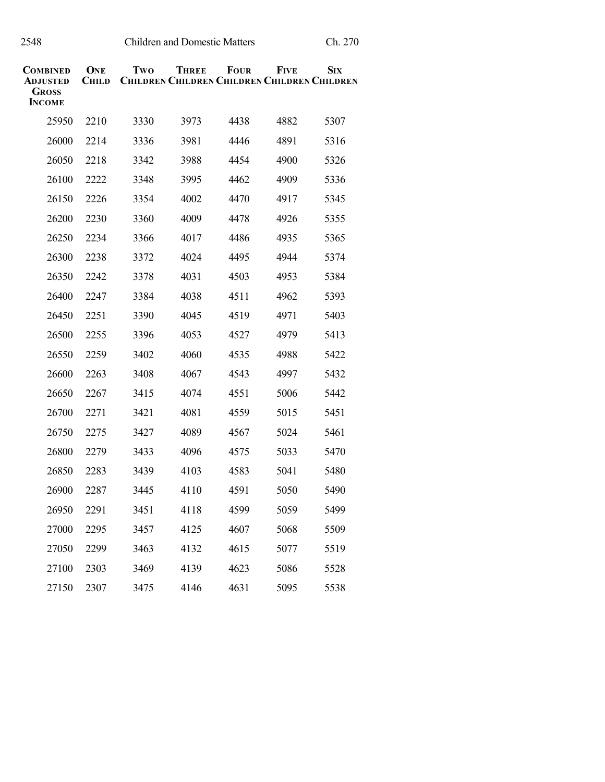| COMBINED<br>ADJUSTED<br><b>GROSS</b><br><b>INCOME</b> | ONE<br><b>CHILD</b> | Two  | <b>THREE</b><br><b>CHILDREN CHILDREN CHILDREN CHILDREN CHILDREN</b> | <b>FOUR</b> | <b>FIVE</b> | <b>S</b> IX |
|-------------------------------------------------------|---------------------|------|---------------------------------------------------------------------|-------------|-------------|-------------|
| 25950                                                 | 2210                | 3330 | 3973                                                                | 4438        | 4882        | 5307        |
| 26000                                                 | 2214                | 3336 | 3981                                                                | 4446        | 4891        | 5316        |
| 26050                                                 | 2218                | 3342 | 3988                                                                | 4454        | 4900        | 5326        |
| 26100                                                 | 2222                | 3348 | 3995                                                                | 4462        | 4909        | 5336        |
| 26150                                                 | 2226                | 3354 | 4002                                                                | 4470        | 4917        | 5345        |
| 26200                                                 | 2230                | 3360 | 4009                                                                | 4478        | 4926        | 5355        |
| 26250                                                 | 2234                | 3366 | 4017                                                                | 4486        | 4935        | 5365        |
| 26300                                                 | 2238                | 3372 | 4024                                                                | 4495        | 4944        | 5374        |
| 26350                                                 | 2242                | 3378 | 4031                                                                | 4503        | 4953        | 5384        |
| 26400                                                 | 2247                | 3384 | 4038                                                                | 4511        | 4962        | 5393        |
| 26450                                                 | 2251                | 3390 | 4045                                                                | 4519        | 4971        | 5403        |
| 26500                                                 | 2255                | 3396 | 4053                                                                | 4527        | 4979        | 5413        |
| 26550                                                 | 2259                | 3402 | 4060                                                                | 4535        | 4988        | 5422        |
| 26600                                                 | 2263                | 3408 | 4067                                                                | 4543        | 4997        | 5432        |
| 26650                                                 | 2267                | 3415 | 4074                                                                | 4551        | 5006        | 5442        |
| 26700                                                 | 2271                | 3421 | 4081                                                                | 4559        | 5015        | 5451        |
| 26750                                                 | 2275                | 3427 | 4089                                                                | 4567        | 5024        | 5461        |
| 26800                                                 | 2279                | 3433 | 4096                                                                | 4575        | 5033        | 5470        |
| 26850                                                 | 2283                | 3439 | 4103                                                                | 4583        | 5041        | 5480        |
| 26900                                                 | 2287                | 3445 | 4110                                                                | 4591        | 5050        | 5490        |
| 26950                                                 | 2291                | 3451 | 4118                                                                | 4599        | 5059        | 5499        |
| 27000                                                 | 2295                | 3457 | 4125                                                                | 4607        | 5068        | 5509        |
| 27050                                                 | 2299                | 3463 | 4132                                                                | 4615        | 5077        | 5519        |
| 27100                                                 | 2303                | 3469 | 4139                                                                | 4623        | 5086        | 5528        |
| 27150                                                 | 2307                | 3475 | 4146                                                                | 4631        | 5095        | 5538        |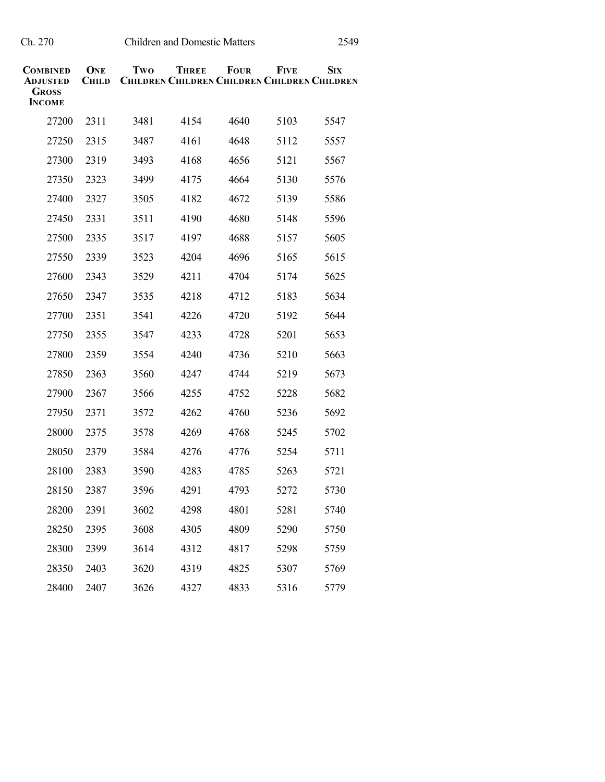| <b>COMBINED</b><br><b>ADJUSTED</b><br>Gross<br><b>INCOME</b> | ONE<br><b>CHILD</b> | Two  | <b>THREE</b><br><b>CHILDREN CHILDREN CHILDREN CHILDREN CHILDREN</b> | <b>FOUR</b> | <b>FIVE</b> | <b>SIX</b> |
|--------------------------------------------------------------|---------------------|------|---------------------------------------------------------------------|-------------|-------------|------------|
| 27200                                                        | 2311                | 3481 | 4154                                                                | 4640        | 5103        | 5547       |
| 27250                                                        | 2315                | 3487 | 4161                                                                | 4648        | 5112        | 5557       |
| 27300                                                        | 2319                | 3493 | 4168                                                                | 4656        | 5121        | 5567       |
| 27350                                                        | 2323                | 3499 | 4175                                                                | 4664        | 5130        | 5576       |
| 27400                                                        | 2327                | 3505 | 4182                                                                | 4672        | 5139        | 5586       |
| 27450                                                        | 2331                | 3511 | 4190                                                                | 4680        | 5148        | 5596       |
| 27500                                                        | 2335                | 3517 | 4197                                                                | 4688        | 5157        | 5605       |
| 27550                                                        | 2339                | 3523 | 4204                                                                | 4696        | 5165        | 5615       |
| 27600                                                        | 2343                | 3529 | 4211                                                                | 4704        | 5174        | 5625       |
| 27650                                                        | 2347                | 3535 | 4218                                                                | 4712        | 5183        | 5634       |
| 27700                                                        | 2351                | 3541 | 4226                                                                | 4720        | 5192        | 5644       |
| 27750                                                        | 2355                | 3547 | 4233                                                                | 4728        | 5201        | 5653       |
| 27800                                                        | 2359                | 3554 | 4240                                                                | 4736        | 5210        | 5663       |
| 27850                                                        | 2363                | 3560 | 4247                                                                | 4744        | 5219        | 5673       |
| 27900                                                        | 2367                | 3566 | 4255                                                                | 4752        | 5228        | 5682       |
| 27950                                                        | 2371                | 3572 | 4262                                                                | 4760        | 5236        | 5692       |
| 28000                                                        | 2375                | 3578 | 4269                                                                | 4768        | 5245        | 5702       |
| 28050                                                        | 2379                | 3584 | 4276                                                                | 4776        | 5254        | 5711       |
| 28100                                                        | 2383                | 3590 | 4283                                                                | 4785        | 5263        | 5721       |
| 28150                                                        | 2387                | 3596 | 4291                                                                | 4793        | 5272        | 5730       |
| 28200                                                        | 2391                | 3602 | 4298                                                                | 4801        | 5281        | 5740       |
| 28250                                                        | 2395                | 3608 | 4305                                                                | 4809        | 5290        | 5750       |
| 28300                                                        | 2399                | 3614 | 4312                                                                | 4817        | 5298        | 5759       |
| 28350                                                        | 2403                | 3620 | 4319                                                                | 4825        | 5307        | 5769       |
| 28400                                                        | 2407                | 3626 | 4327                                                                | 4833        | 5316        | 5779       |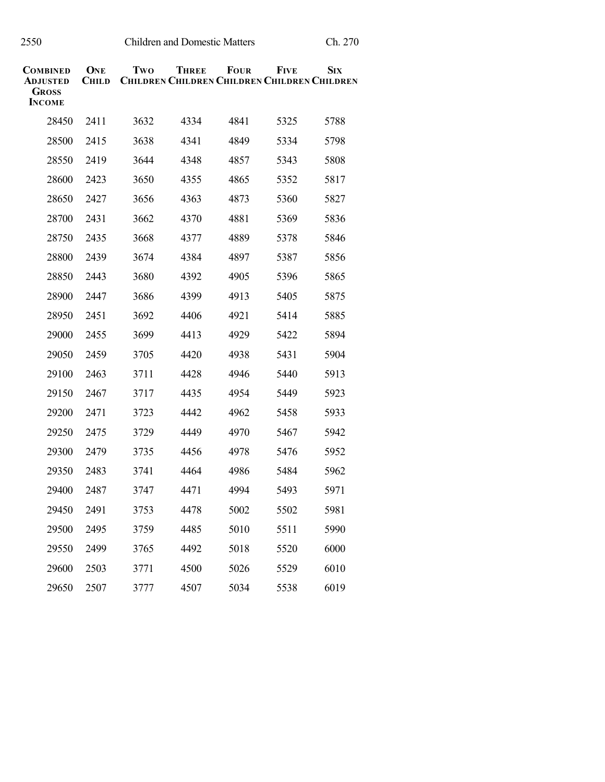| <b>COMBINED</b><br><b>ADJUSTED</b><br><b>GROSS</b><br><b>INCOME</b> | ONE<br><b>CHILD</b> | Two  | <b>THREE</b><br><b>CHILDREN CHILDREN CHILDREN CHILDREN CHILDREN</b> | <b>FOUR</b> | <b>FIVE</b> | <b>SIX</b> |
|---------------------------------------------------------------------|---------------------|------|---------------------------------------------------------------------|-------------|-------------|------------|
| 28450                                                               | 2411                | 3632 | 4334                                                                | 4841        | 5325        | 5788       |
| 28500                                                               | 2415                | 3638 | 4341                                                                | 4849        | 5334        | 5798       |
| 28550                                                               | 2419                | 3644 | 4348                                                                | 4857        | 5343        | 5808       |
| 28600                                                               | 2423                | 3650 | 4355                                                                | 4865        | 5352        | 5817       |
| 28650                                                               | 2427                | 3656 | 4363                                                                | 4873        | 5360        | 5827       |
| 28700                                                               | 2431                | 3662 | 4370                                                                | 4881        | 5369        | 5836       |
| 28750                                                               | 2435                | 3668 | 4377                                                                | 4889        | 5378        | 5846       |
| 28800                                                               | 2439                | 3674 | 4384                                                                | 4897        | 5387        | 5856       |
| 28850                                                               | 2443                | 3680 | 4392                                                                | 4905        | 5396        | 5865       |
| 28900                                                               | 2447                | 3686 | 4399                                                                | 4913        | 5405        | 5875       |
| 28950                                                               | 2451                | 3692 | 4406                                                                | 4921        | 5414        | 5885       |
| 29000                                                               | 2455                | 3699 | 4413                                                                | 4929        | 5422        | 5894       |
| 29050                                                               | 2459                | 3705 | 4420                                                                | 4938        | 5431        | 5904       |
| 29100                                                               | 2463                | 3711 | 4428                                                                | 4946        | 5440        | 5913       |
| 29150                                                               | 2467                | 3717 | 4435                                                                | 4954        | 5449        | 5923       |
| 29200                                                               | 2471                | 3723 | 4442                                                                | 4962        | 5458        | 5933       |
| 29250                                                               | 2475                | 3729 | 4449                                                                | 4970        | 5467        | 5942       |
| 29300                                                               | 2479                | 3735 | 4456                                                                | 4978        | 5476        | 5952       |
| 29350                                                               | 2483                | 3741 | 4464                                                                | 4986        | 5484        | 5962       |
| 29400                                                               | 2487                | 3747 | 4471                                                                | 4994        | 5493        | 5971       |
| 29450                                                               | 2491                | 3753 | 4478                                                                | 5002        | 5502        | 5981       |
| 29500                                                               | 2495                | 3759 | 4485                                                                | 5010        | 5511        | 5990       |
| 29550                                                               | 2499                | 3765 | 4492                                                                | 5018        | 5520        | 6000       |
| 29600                                                               | 2503                | 3771 | 4500                                                                | 5026        | 5529        | 6010       |
| 29650                                                               | 2507                | 3777 | 4507                                                                | 5034        | 5538        | 6019       |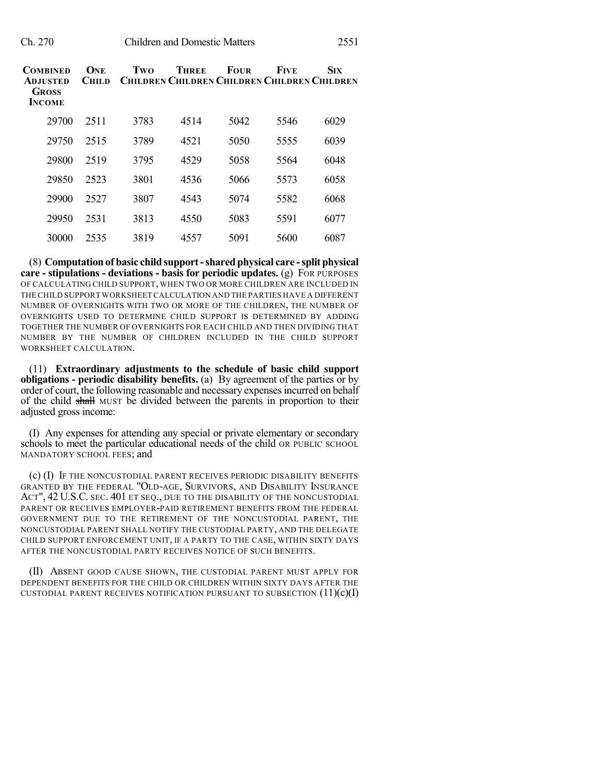| COMBINED<br><b>ADJUSTED</b><br><b>GROSS</b><br><b>INCOME</b> | ONE<br><b>CHILD</b> | Two  | <b>THREE</b><br><b>CHILDREN CHILDREN CHILDREN CHILDREN CHILDREN</b> | <b>FOUR</b> | <b>FIVE</b> | <b>SIX</b> |
|--------------------------------------------------------------|---------------------|------|---------------------------------------------------------------------|-------------|-------------|------------|
| 29700                                                        | 2511                | 3783 | 4514                                                                | 5042        | 5546        | 6029       |
| 29750                                                        | 2515                | 3789 | 4521                                                                | 5050        | 5555        | 6039       |
| 29800                                                        | 2519                | 3795 | 4529                                                                | 5058        | 5564        | 6048       |
| 29850                                                        | 2523                | 3801 | 4536                                                                | 5066        | 5573        | 6058       |
| 29900                                                        | 2527                | 3807 | 4543                                                                | 5074        | 5582        | 6068       |
| 29950                                                        | 2531                | 3813 | 4550                                                                | 5083        | 5591        | 6077       |
| 30000                                                        | 2535                | 3819 | 4557                                                                | 5091        | 5600        | 6087       |

(8) **Computation of basic child support-sharedphysical care -split physical care - stipulations - deviations - basis for periodic updates.** (g) FOR PURPOSES OF CALCULATING CHILD SUPPORT, WHEN TWO OR MORE CHILDREN ARE INCLUDED IN THE CHILD SUPPORT WORKSHEET CALCULATION AND THE PARTIES HAVE A DIFFERENT NUMBER OF OVERNIGHTS WITH TWO OR MORE OF THE CHILDREN, THE NUMBER OF OVERNIGHTS USED TO DETERMINE CHILD SUPPORT IS DETERMINED BY ADDING TOGETHER THE NUMBER OF OVERNIGHTS FOR EACH CHILD AND THEN DIVIDING THAT NUMBER BY THE NUMBER OF CHILDREN INCLUDED IN THE CHILD SUPPORT WORKSHEET CALCULATION.

(11) **Extraordinary adjustments to the schedule of basic child support obligations - periodic disability benefits.** (a) By agreement of the parties or by order of court, the following reasonable and necessary expensesincurred on behalf of the child shall MUST be divided between the parents in proportion to their adjusted gross income:

(I) Any expenses for attending any special or private elementary or secondary schools to meet the particular educational needs of the child OR PUBLIC SCHOOL MANDATORY SCHOOL FEES; and

(c) (I) IF THE NONCUSTODIAL PARENT RECEIVES PERIODIC DISABILITY BENEFITS GRANTED BY THE FEDERAL "OLD-AGE, SURVIVORS, AND DISABILITY INSURANCE ACT", 42 U.S.C. SEC. 401 ET SEQ., DUE TO THE DISABILITY OF THE NONCUSTODIAL PARENT OR RECEIVES EMPLOYER-PAID RETIREMENT BENEFITS FROM THE FEDERAL GOVERNMENT DUE TO THE RETIREMENT OF THE NONCUSTODIAL PARENT, THE NONCUSTODIAL PARENT SHALL NOTIFY THE CUSTODIAL PARTY, AND THE DELEGATE CHILD SUPPORT ENFORCEMENT UNIT, IF A PARTY TO THE CASE, WITHIN SIXTY DAYS AFTER THE NONCUSTODIAL PARTY RECEIVES NOTICE OF SUCH BENEFITS.

(II) ABSENT GOOD CAUSE SHOWN, THE CUSTODIAL PARENT MUST APPLY FOR DEPENDENT BENEFITS FOR THE CHILD OR CHILDREN WITHIN SIXTY DAYS AFTER THE CUSTODIAL PARENT RECEIVES NOTIFICATION PURSUANT TO SUBSECTION  $(11)(c)(I)$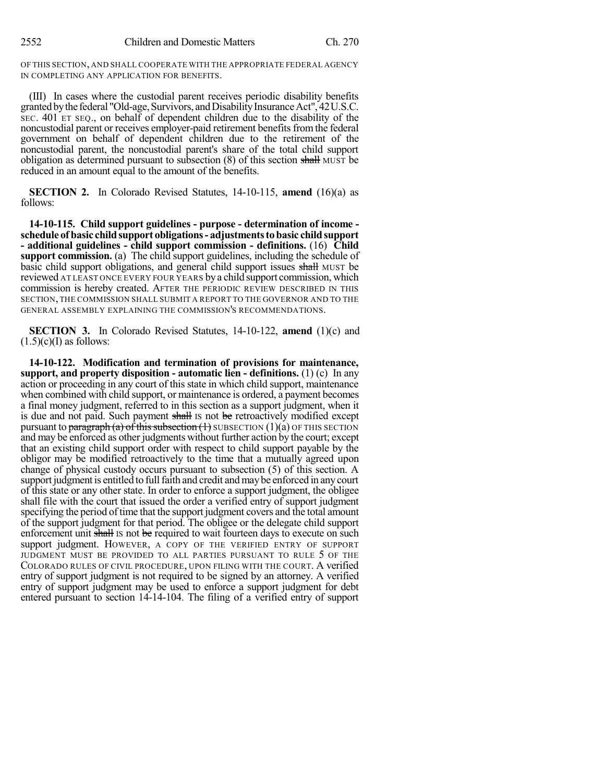OF THIS SECTION, AND SHALL COOPERATE WITH THE APPROPRIATE FEDERAL AGENCY IN COMPLETING ANY APPLICATION FOR BENEFITS.

(III) In cases where the custodial parent receives periodic disability benefits granted by the federal "Old-age, Survivors, and Disability Insurance Act", 42U.S.C. SEC. 401 ET SEQ., on behalf of dependent children due to the disability of the noncustodial parent or receives employer-paid retirement benefits from the federal government on behalf of dependent children due to the retirement of the noncustodial parent, the noncustodial parent's share of the total child support obligation as determined pursuant to subsection  $(8)$  of this section shall MUST be reduced in an amount equal to the amount of the benefits.

**SECTION 2.** In Colorado Revised Statutes, 14-10-115, **amend** (16)(a) as follows:

**14-10-115. Child support guidelines - purpose - determination of income schedule of basic childsupport obligations- adjustmentstobasic childsupport - additional guidelines - child support commission - definitions.** (16) **Child support commission.** (a) The child support guidelines, including the schedule of basic child support obligations, and general child support issues shall MUST be reviewed AT LEAST ONCE EVERY FOUR YEARS bya child support commission, which commission is hereby created. AFTER THE PERIODIC REVIEW DESCRIBED IN THIS SECTION, THE COMMISSION SHALL SUBMIT A REPORT TO THE GOVERNOR AND TO THE GENERAL ASSEMBLY EXPLAINING THE COMMISSION'S RECOMMENDATIONS.

**SECTION 3.** In Colorado Revised Statutes, 14-10-122, **amend** (1)(c) and  $(1.5)(c)(I)$  as follows:

**14-10-122. Modification and termination of provisions for maintenance, support, and property disposition - automatic lien - definitions.** (1) (c) In any action or proceeding in any court of this state in which child support, maintenance when combined with child support, or maintenance is ordered, a payment becomes a final money judgment, referred to in this section as a support judgment, when it is due and not paid. Such payment shall is not be retroactively modified except pursuant to paragraph (a) of this subsection  $(1)$  SUBSECTION  $(1)(a)$  OF THIS SECTION and may be enforced as other judgments without further action by the court; except that an existing child support order with respect to child support payable by the obligor may be modified retroactively to the time that a mutually agreed upon change of physical custody occurs pursuant to subsection (5) of this section. A support judgment is entitled to full faith and credit and may be enforced in any court of this state or any other state. In order to enforce a support judgment, the obligee shall file with the court that issued the order a verified entry of support judgment specifying the period of time that the support judgment covers and the total amount of the support judgment for that period. The obligee or the delegate child support enforcement unit shall Is not be required to wait fourteen days to execute on such support judgment. HOWEVER, A COPY OF THE VERIFIED ENTRY OF SUPPORT JUDGMENT MUST BE PROVIDED TO ALL PARTIES PURSUANT TO RULE 5 OF THE COLORADO RULES OF CIVIL PROCEDURE, UPON FILING WITH THE COURT. A verified entry of support judgment is not required to be signed by an attorney. A verified entry of support judgment may be used to enforce a support judgment for debt entered pursuant to section 14-14-104. The filing of a verified entry of support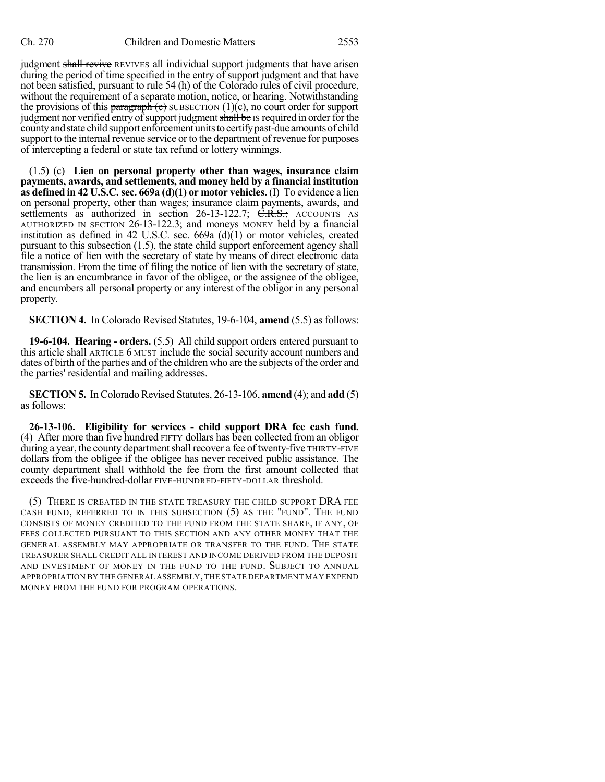judgment shall revive REVIVES all individual support judgments that have arisen during the period of time specified in the entry of support judgment and that have not been satisfied, pursuant to rule 54 (h) of the Colorado rules of civil procedure, without the requirement of a separate motion, notice, or hearing. Notwithstanding the provisions of this paragraph  $(c)$  SUBSECTION  $(1)(c)$ , no court order for support judgment nor verified entry of support judgment shall be IS required in order for the county and state child support enforcement units to certify past-due amounts of child support to the internal revenue service or to the department of revenue for purposes of intercepting a federal or state tax refund or lottery winnings.

(1.5) (c) **Lien on personal property other than wages, insurance claim payments, awards, and settlements, and money held by a financial institution as defined in 42 U.S.C.sec. 669a (d)(1) or motor vehicles.** (I) To evidence a lien on personal property, other than wages; insurance claim payments, awards, and settlements as authorized in section 26-13-122.7; C.R.S.; ACCOUNTS AS AUTHORIZED IN SECTION 26-13-122.3; and moneys MONEY held by a financial institution as defined in 42 U.S.C. sec. 669a (d)(1) or motor vehicles, created pursuant to this subsection (1.5), the state child support enforcement agency shall file a notice of lien with the secretary of state by means of direct electronic data transmission. From the time of filing the notice of lien with the secretary of state, the lien is an encumbrance in favor of the obligee, or the assignee of the obligee, and encumbers all personal property or any interest of the obligor in any personal property.

**SECTION 4.** In Colorado Revised Statutes, 19-6-104, **amend** (5.5) as follows:

**19-6-104. Hearing - orders.** (5.5) All child support orders entered pursuant to this article shall ARTICLE 6 MUST include the social security account numbers and dates of birth of the parties and of the children who are the subjects of the order and the parties' residential and mailing addresses.

**SECTION 5.** In Colorado Revised Statutes, 26-13-106, **amend** (4); and **add** (5) as follows:

**26-13-106. Eligibility for services - child support DRA fee cash fund.** (4) After more than five hundred FIFTY dollars has been collected from an obligor during a year, the county department shall recover a fee of twenty-five THIRTY-FIVE dollars from the obligee if the obligee has never received public assistance. The county department shall withhold the fee from the first amount collected that exceeds the five-hundred-dollar FIVE-HUNDRED-FIFTY-DOLLAR threshold.

(5) THERE IS CREATED IN THE STATE TREASURY THE CHILD SUPPORT DRA FEE CASH FUND, REFERRED TO IN THIS SUBSECTION (5) AS THE "FUND". THE FUND CONSISTS OF MONEY CREDITED TO THE FUND FROM THE STATE SHARE, IF ANY, OF FEES COLLECTED PURSUANT TO THIS SECTION AND ANY OTHER MONEY THAT THE GENERAL ASSEMBLY MAY APPROPRIATE OR TRANSFER TO THE FUND. THE STATE TREASURER SHALL CREDIT ALL INTEREST AND INCOME DERIVED FROM THE DEPOSIT AND INVESTMENT OF MONEY IN THE FUND TO THE FUND. SUBJECT TO ANNUAL APPROPRIATION BY THE GENERAL ASSEMBLY,THE STATE DEPARTMENT MAY EXPEND MONEY FROM THE FUND FOR PROGRAM OPERATIONS.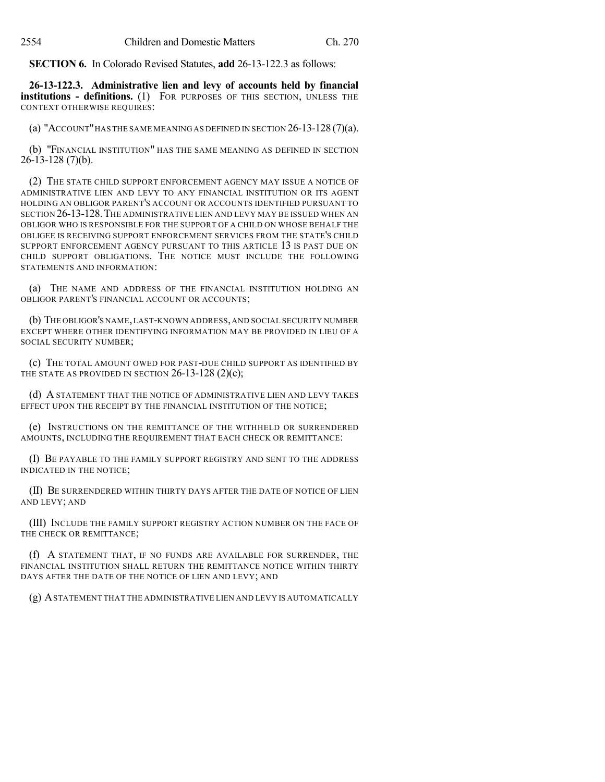**SECTION 6.** In Colorado Revised Statutes, **add** 26-13-122.3 as follows:

**26-13-122.3. Administrative lien and levy of accounts held by financial institutions - definitions.** (1) FOR PURPOSES OF THIS SECTION, UNLESS THE CONTEXT OTHERWISE REQUIRES:

(a) "ACCOUNT" HAS THE SAME MEANING AS DEFINED IN SECTION  $26$ -13-128  $(7)(a)$ .

(b) "FINANCIAL INSTITUTION" HAS THE SAME MEANING AS DEFINED IN SECTION 26-13-128 (7)(b).

(2) THE STATE CHILD SUPPORT ENFORCEMENT AGENCY MAY ISSUE A NOTICE OF ADMINISTRATIVE LIEN AND LEVY TO ANY FINANCIAL INSTITUTION OR ITS AGENT HOLDING AN OBLIGOR PARENT'S ACCOUNT OR ACCOUNTS IDENTIFIED PURSUANT TO SECTION 26-13-128.THE ADMINISTRATIVE LIEN AND LEVY MAY BE ISSUED WHEN AN OBLIGOR WHO IS RESPONSIBLE FOR THE SUPPORT OF A CHILD ON WHOSE BEHALF THE OBLIGEE IS RECEIVING SUPPORT ENFORCEMENT SERVICES FROM THE STATE'S CHILD SUPPORT ENFORCEMENT AGENCY PURSUANT TO THIS ARTICLE 13 IS PAST DUE ON CHILD SUPPORT OBLIGATIONS. THE NOTICE MUST INCLUDE THE FOLLOWING STATEMENTS AND INFORMATION:

(a) THE NAME AND ADDRESS OF THE FINANCIAL INSTITUTION HOLDING AN OBLIGOR PARENT'S FINANCIAL ACCOUNT OR ACCOUNTS;

(b) THE OBLIGOR'S NAME,LAST-KNOWN ADDRESS,AND SOCIAL SECURITY NUMBER EXCEPT WHERE OTHER IDENTIFYING INFORMATION MAY BE PROVIDED IN LIEU OF A SOCIAL SECURITY NUMBER;

(c) THE TOTAL AMOUNT OWED FOR PAST-DUE CHILD SUPPORT AS IDENTIFIED BY THE STATE AS PROVIDED IN SECTION 26-13-128 (2)(c);

(d) A STATEMENT THAT THE NOTICE OF ADMINISTRATIVE LIEN AND LEVY TAKES EFFECT UPON THE RECEIPT BY THE FINANCIAL INSTITUTION OF THE NOTICE;

(e) INSTRUCTIONS ON THE REMITTANCE OF THE WITHHELD OR SURRENDERED AMOUNTS, INCLUDING THE REQUIREMENT THAT EACH CHECK OR REMITTANCE:

(I) BE PAYABLE TO THE FAMILY SUPPORT REGISTRY AND SENT TO THE ADDRESS INDICATED IN THE NOTICE;

(II) BE SURRENDERED WITHIN THIRTY DAYS AFTER THE DATE OF NOTICE OF LIEN AND LEVY; AND

(III) INCLUDE THE FAMILY SUPPORT REGISTRY ACTION NUMBER ON THE FACE OF THE CHECK OR REMITTANCE;

(f) A STATEMENT THAT, IF NO FUNDS ARE AVAILABLE FOR SURRENDER, THE FINANCIAL INSTITUTION SHALL RETURN THE REMITTANCE NOTICE WITHIN THIRTY DAYS AFTER THE DATE OF THE NOTICE OF LIEN AND LEVY; AND

(g) ASTATEMENT THAT THE ADMINISTRATIVE LIEN AND LEVY IS AUTOMATICALLY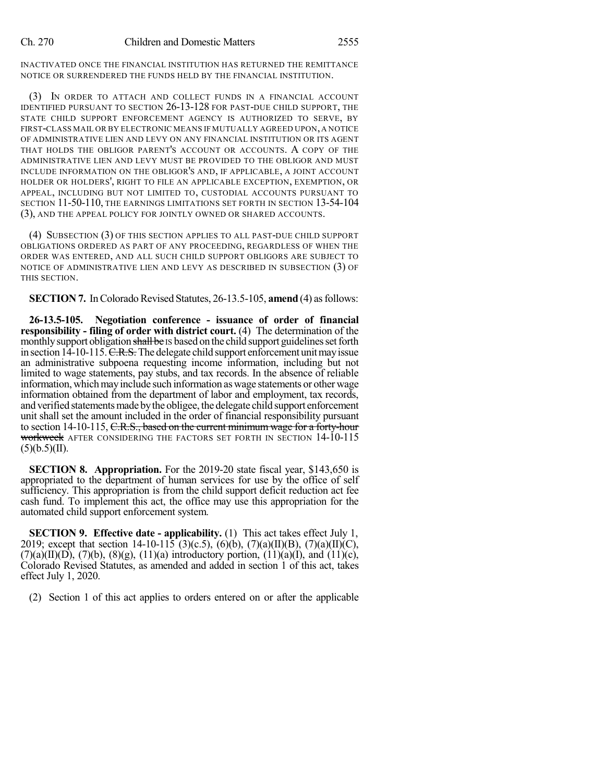INACTIVATED ONCE THE FINANCIAL INSTITUTION HAS RETURNED THE REMITTANCE NOTICE OR SURRENDERED THE FUNDS HELD BY THE FINANCIAL INSTITUTION.

(3) IN ORDER TO ATTACH AND COLLECT FUNDS IN A FINANCIAL ACCOUNT IDENTIFIED PURSUANT TO SECTION 26-13-128 FOR PAST-DUE CHILD SUPPORT, THE STATE CHILD SUPPORT ENFORCEMENT AGENCY IS AUTHORIZED TO SERVE, BY FIRST-CLASS MAIL OR BY ELECTRONIC MEANS IF MUTUALLY AGREED UPON,A NOTICE OF ADMINISTRATIVE LIEN AND LEVY ON ANY FINANCIAL INSTITUTION OR ITS AGENT THAT HOLDS THE OBLIGOR PARENT'S ACCOUNT OR ACCOUNTS. A COPY OF THE ADMINISTRATIVE LIEN AND LEVY MUST BE PROVIDED TO THE OBLIGOR AND MUST INCLUDE INFORMATION ON THE OBLIGOR'S AND, IF APPLICABLE, A JOINT ACCOUNT HOLDER OR HOLDERS', RIGHT TO FILE AN APPLICABLE EXCEPTION, EXEMPTION, OR APPEAL, INCLUDING BUT NOT LIMITED TO, CUSTODIAL ACCOUNTS PURSUANT TO SECTION 11-50-110, THE EARNINGS LIMITATIONS SET FORTH IN SECTION 13-54-104 (3), AND THE APPEAL POLICY FOR JOINTLY OWNED OR SHARED ACCOUNTS.

(4) SUBSECTION (3) OF THIS SECTION APPLIES TO ALL PAST-DUE CHILD SUPPORT OBLIGATIONS ORDERED AS PART OF ANY PROCEEDING, REGARDLESS OF WHEN THE ORDER WAS ENTERED, AND ALL SUCH CHILD SUPPORT OBLIGORS ARE SUBJECT TO NOTICE OF ADMINISTRATIVE LIEN AND LEVY AS DESCRIBED IN SUBSECTION (3) OF THIS SECTION.

**SECTION 7.** In Colorado Revised Statutes, 26-13.5-105, **amend** (4) as follows:

**26-13.5-105. Negotiation conference - issuance of order of financial responsibility - filing of order with district court.** (4) The determination of the monthly support obligation shall be IS based on the child support guidelines set forth in section  $14-10-115$ . C.R.S. The delegate child support enforcement unit may issue an administrative subpoena requesting income information, including but not limited to wage statements, pay stubs, and tax records. In the absence of reliable information, which may include such information as wage statements or other wage information obtained from the department of labor and employment, tax records, and verified statements made by the obligee, the delegate child support enforcement unit shall set the amount included in the order of financial responsibility pursuant to section 14-10-115, C.R.S., based on the current minimum wage for a forty-hour workweek AFTER CONSIDERING THE FACTORS SET FORTH IN SECTION 14-10-115  $(5)(b.5)(II).$ 

**SECTION 8. Appropriation.** For the 2019-20 state fiscal year, \$143,650 is appropriated to the department of human services for use by the office of self sufficiency. This appropriation is from the child support deficit reduction act fee cash fund. To implement this act, the office may use this appropriation for the automated child support enforcement system.

**SECTION 9. Effective date - applicability.** (1) This act takes effect July 1, 2019; except that section 14-10-115 (3)(c.5), (6)(b), (7)(a)(II)(B), (7)(a)(II)(C),  $(7)(a)(II)(D)$ ,  $(7)(b)$ ,  $(8)(g)$ ,  $(11)(a)$  introductory portion,  $(11)(a)(I)$ , and  $(11)(c)$ , Colorado Revised Statutes, as amended and added in section 1 of this act, takes effect July 1, 2020.

(2) Section 1 of this act applies to orders entered on or after the applicable